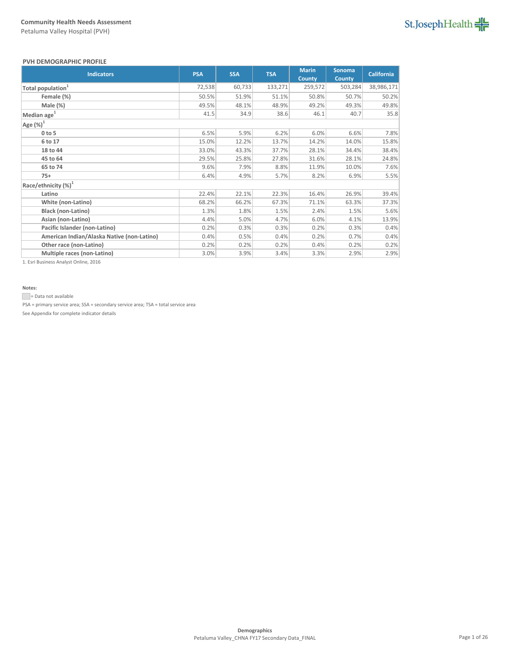# St.JosephHealth

### **PVH DEMOGRAPHIC PROFILE**

| <b>Indicators</b>                          | <b>PSA</b> | <b>SSA</b> | <b>TSA</b> | <b>Marin</b><br><b>County</b> | Sonoma<br><b>County</b> | <b>California</b> |
|--------------------------------------------|------------|------------|------------|-------------------------------|-------------------------|-------------------|
| Total population <sup>1</sup>              | 72,538     | 60,733     | 133,271    | 259,572                       | 503,284                 | 38,986,171        |
| Female (%)                                 | 50.5%      | 51.9%      | 51.1%      | 50.8%                         | 50.7%                   | 50.2%             |
| Male (%)                                   | 49.5%      | 48.1%      | 48.9%      | 49.2%                         | 49.3%                   | 49.8%             |
| Median age <sup>1</sup>                    | 41.5       | 34.9       | 38.6       | 46.1                          | 40.7                    | 35.8              |
| Age $(\%)^1$                               |            |            |            |                               |                         |                   |
| $0$ to 5                                   | 6.5%       | 5.9%       | 6.2%       | 6.0%                          | 6.6%                    | 7.8%              |
| 6 to 17                                    | 15.0%      | 12.2%      | 13.7%      | 14.2%                         | 14.0%                   | 15.8%             |
| 18 to 44                                   | 33.0%      | 43.3%      | 37.7%      | 28.1%                         | 34.4%                   | 38.4%             |
| 45 to 64                                   | 29.5%      | 25.8%      | 27.8%      | 31.6%                         | 28.1%                   | 24.8%             |
| 65 to 74                                   | 9.6%       | 7.9%       | 8.8%       | 11.9%                         | 10.0%                   | 7.6%              |
| $75+$                                      | 6.4%       | 4.9%       | 5.7%       | 8.2%                          | 6.9%                    | 5.5%              |
| Race/ethnicity (%) <sup>1</sup>            |            |            |            |                               |                         |                   |
| Latino                                     | 22.4%      | 22.1%      | 22.3%      | 16.4%                         | 26.9%                   | 39.4%             |
| White (non-Latino)                         | 68.2%      | 66.2%      | 67.3%      | 71.1%                         | 63.3%                   | 37.3%             |
| <b>Black (non-Latino)</b>                  | 1.3%       | 1.8%       | 1.5%       | 2.4%                          | 1.5%                    | 5.6%              |
| Asian (non-Latino)                         | 4.4%       | 5.0%       | 4.7%       | 6.0%                          | 4.1%                    | 13.9%             |
| Pacific Islander (non-Latino)              | 0.2%       | 0.3%       | 0.3%       | 0.2%                          | 0.3%                    | 0.4%              |
| American Indian/Alaska Native (non-Latino) | 0.4%       | 0.5%       | 0.4%       | 0.2%                          | 0.7%                    | 0.4%              |
| Other race (non-Latino)                    | 0.2%       | 0.2%       | 0.2%       | 0.4%                          | 0.2%                    | 0.2%              |
| Multiple races (non-Latino)                | 3.0%       | 3.9%       | 3.4%       | 3.3%                          | 2.9%                    | 2.9%              |

1. Esri Business Analyst Online, 2016

## **Notes:**

= Data not available

PSA = primary service area; SSA = secondary service area; TSA = total service area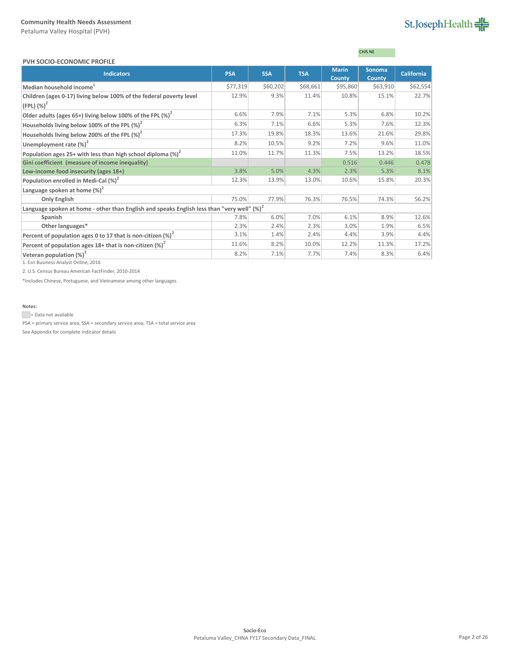# St.JosephHealth

#### **PVH SOCIO-ECONOMIC PROFILE**

# CHIS NE

| L VII JUCIU-LCUNUIVIIC LIVULILL                                                                        |            |            |            |               |               |                   |
|--------------------------------------------------------------------------------------------------------|------------|------------|------------|---------------|---------------|-------------------|
| <b>Indicators</b>                                                                                      | <b>PSA</b> | <b>SSA</b> | <b>TSA</b> | <b>Marin</b>  | <b>Sonoma</b> | <b>California</b> |
|                                                                                                        |            |            |            | <b>County</b> | <b>County</b> |                   |
| Median household income <sup>1</sup>                                                                   | \$77,319   | \$60,202   | \$68,661   | \$95,860      | \$63,910      | \$62,554          |
| Children (ages 0-17) living below 100% of the federal poverty level                                    | 12.9%      | 9.3%       | 11.4%      | 10.8%         | 15.1%         | 22.7%             |
| $(FPL)$ $(\%)^2$                                                                                       |            |            |            |               |               |                   |
| Older adults (ages 65+) living below 100% of the FPL $(\%)^2$                                          | 6.6%       | 7.9%       | 7.1%       | 5.3%          | 6.8%          | 10.2%             |
| Households living below 100% of the FPL $(\%)^2$                                                       | 6.3%       | 7.1%       | 6.6%       | 5.3%          | 7.6%          | 12.3%             |
| Households living below 200% of the FPL $(\%)^2$                                                       | 17.3%      | 19.8%      | 18.3%      | 13.6%         | 21.6%         | 29.8%             |
| Unemployment rate $(\%)^2$                                                                             | 8.2%       | 10.5%      | 9.2%       | 7.2%          | 9.6%          | 11.0%             |
| Population ages 25+ with less than high school diploma $\left(\% \right)^2$                            | 11.0%      | 11.7%      | 11.3%      | 7.5%          | 13.2%         | 18.5%             |
| Gini coefficient (measure of income inequality)                                                        |            |            |            | 0.516         | 0.446         | 0.478             |
| Low-income food insecurity (ages 18+)                                                                  | 3.8%       | 5.0%       | 4.3%       | 2.3%          | 5.3%          | 8.1%              |
| Population enrolled in Medi-Cal (%) <sup>2</sup>                                                       | 12.3%      | 13.9%      | 13.0%      | 10.6%         | 15.8%         | 20.3%             |
| Language spoken at home $(\%)^2$                                                                       |            |            |            |               |               |                   |
| <b>Only English</b>                                                                                    | 75.0%      | 77.9%      | 76.3%      | 76.5%         | 74.3%         | 56.2%             |
| Language spoken at home - other than English and speaks English less than "very well" (%) <sup>2</sup> |            |            |            |               |               |                   |
| Spanish                                                                                                | 7.8%       | 6.0%       | 7.0%       | 6.1%          | 8.9%          | 12.6%             |
| Other languages*                                                                                       | 2.3%       | 2.4%       | 2.3%       | 3.0%          | 1.9%          | 6.5%              |
| Percent of population ages 0 to 17 that is non-citizen $(\%)^2$                                        | 3.1%       | 1.4%       | 2.4%       | 4.4%          | 3.9%          | 4.4%              |
| Percent of population ages 18+ that is non-citizen $(\%)^2$                                            | 11.6%      | 8.2%       | 10.0%      | 12.2%         | 11.3%         | 17.2%             |
| Veteran population $(\%)^2$                                                                            | 8.2%       | 7.1%       | 7.7%       | 7.4%          | 8.3%          | 6.4%              |

1. Esri Business Analyst Online, 2016

2. U.S. Census Bureau American FactFinder, 2010-2014

\*Includes Chinese, Portuguese, and Vietnamese among other languages

## **Notes:**

= Data not available

PSA = primary service area; SSA = secondary service area; TSA = total service area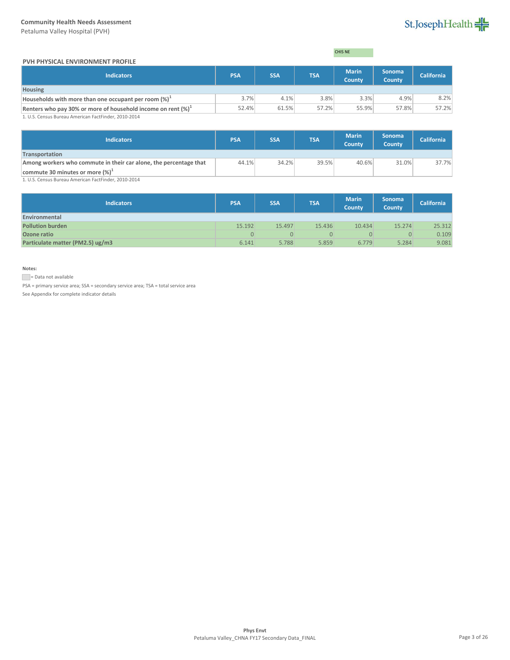Petaluma Valley Hospital (PVH)

# St.JosephHealth

## **PVH PHYSICAL ENVIRONMENT PROFILE**

| <b>CHIS NE</b> |  |
|----------------|--|
|                |  |

| <b>Indicators</b>                                                | <b>PSA</b> | <b>SSA</b> | <b>TSA</b> | <b>Marin</b><br><b>County</b> | <b>Sonoma</b><br><b>County</b> | <b>California</b> |
|------------------------------------------------------------------|------------|------------|------------|-------------------------------|--------------------------------|-------------------|
| <b>Housing</b>                                                   |            |            |            |                               |                                |                   |
| Households with more than one occupant per room $(\%)^{\perp}$   | 3.7%       | 4.1%       | 3.8%       | 3.3%                          | 4.9%                           | 8.2%              |
| Renters who pay 30% or more of household income on rent $(\%)^1$ | 52.4%      | 61.5%      | 57.2%      | 55.9%                         | 57.8%                          | 57.2%             |
| 1. U.S. Census Bureau American FactFinder, 2010-2014             |            |            |            |                               |                                |                   |

1. U.S. Census Bureau American FactFinder, 2010-2014

| <b>PSA</b> | <b>SSA</b> | <b>TSA</b> | <b>Marin</b><br><b>County</b> | Sonoma<br>County | <b>California</b> |
|------------|------------|------------|-------------------------------|------------------|-------------------|
|            |            |            |                               |                  |                   |
|            |            | 39.5%      | 40.6%                         | 31.0%            | 37.7%             |
|            |            |            |                               |                  |                   |
|            |            | 44.1%      | 34.2%                         |                  |                   |

1. U.S. Census Bureau American FactFinder, 2010-2014

| Indicators                       | <b>PSA</b> | <b>SSA</b> | <b>TSA</b> | <b>Marin</b><br><b>County</b> | <b>Sonoma</b><br>County | <b>California</b> |
|----------------------------------|------------|------------|------------|-------------------------------|-------------------------|-------------------|
| Environmental                    |            |            |            |                               |                         |                   |
| <b>Pollution burden</b>          | 15.192     | 15.497     | 15.436     | 10.434                        | 15.274                  | 25.312            |
| Ozone ratio                      | 0          |            |            |                               | $\overline{0}$          | 0.109             |
| Particulate matter (PM2.5) ug/m3 | 6.141      | 5.788      | 5.859      | 6.779                         | 5.284                   | 9.081             |

**Notes:**

Data not available

PSA = primary service area; SSA = secondary service area; TSA = total service area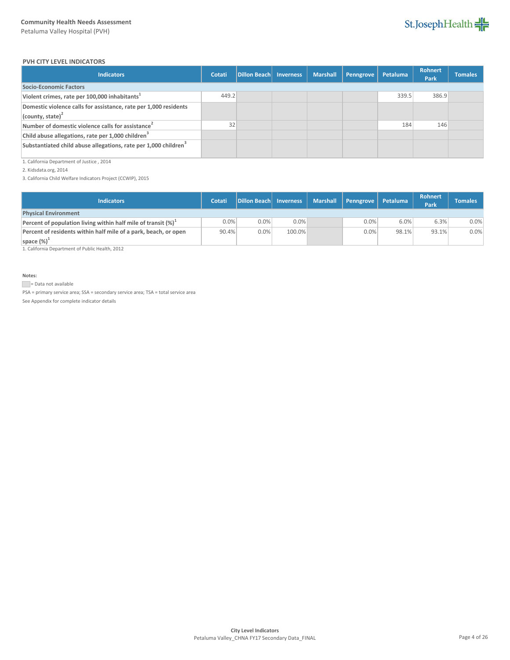

### **PVH CITY LEVEL INDICATORS**

| <b>Indicators</b>                                                                       | Cotati | Dillon Beach Inverness | <b>Marshall</b> | Penngrove | Petaluma | <b>Rohnert</b><br>Park | <b>Tomales</b> |
|-----------------------------------------------------------------------------------------|--------|------------------------|-----------------|-----------|----------|------------------------|----------------|
| Socio-Economic Factors                                                                  |        |                        |                 |           |          |                        |                |
| Violent crimes, rate per 100,000 inhabitants <sup>1</sup>                               | 449.2  |                        |                 |           | 339.5    | 386.9                  |                |
| Domestic violence calls for assistance, rate per 1,000 residents<br>(county, state) $2$ |        |                        |                 |           |          |                        |                |
| Number of domestic violence calls for assistance <sup>2</sup>                           | 32     |                        |                 |           | 184      | 146                    |                |
| Child abuse allegations, rate per 1,000 children <sup>3</sup>                           |        |                        |                 |           |          |                        |                |
| Substantiated child abuse allegations, rate per 1,000 children <sup>3</sup>             |        |                        |                 |           |          |                        |                |

1. California Department of Justice , 2014

2. Kidsdata.org, 2014

3. California Child Welfare Indicators Project (CCWIP), 2015

| <b>Indicators</b>                                                       | Cotati  | Dillon Beach Inverness |        | Marshall   Penngrove | Petaluma | <b>Rohnert</b><br>Park | <b>Tomales</b> |
|-------------------------------------------------------------------------|---------|------------------------|--------|----------------------|----------|------------------------|----------------|
| <b>Physical Environment</b>                                             |         |                        |        |                      |          |                        |                |
| Percent of population living within half mile of transit $(\%)^{\perp}$ | $0.0\%$ | 0.0%                   | 0.0%   | 0.0%                 | 6.0%     | 6.3%                   | 0.0%           |
| Percent of residents within half mile of a park, beach, or open         | 90.4%   | $0.0\%$                | 100.0% | 0.0%                 | 98.1%    | 93.1%                  | 0.0%           |
| space $(\%)^{\perp}$                                                    |         |                        |        |                      |          |                        |                |

1. California Department of Public Health, 2012

**Notes:**

Data not available

PSA = primary service area; SSA = secondary service area; TSA = total service area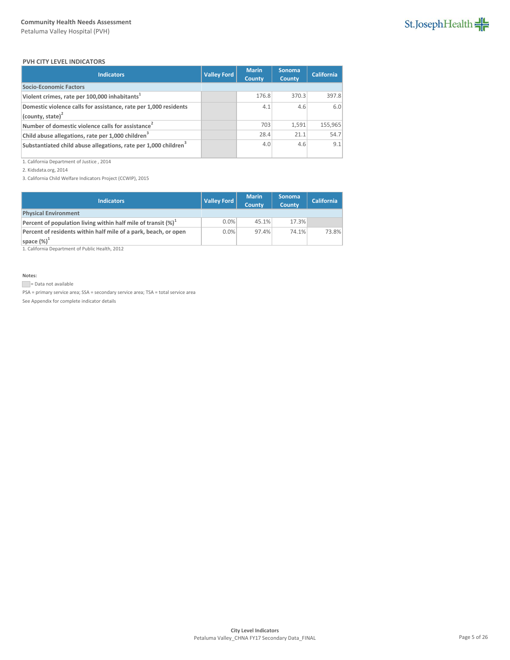

#### **PVH CITY LEVEL INDICATORS**

| <b>Indicators</b>                                                           | <b>Valley Ford</b> | <b>Marin</b><br><b>County</b> | <b>Sonoma</b><br><b>County</b> | <b>California</b> |
|-----------------------------------------------------------------------------|--------------------|-------------------------------|--------------------------------|-------------------|
| <b>Socio-Economic Factors</b>                                               |                    |                               |                                |                   |
| Violent crimes, rate per 100,000 inhabitants <sup>1</sup>                   |                    | 176.8                         | 370.3                          | 397.8             |
| Domestic violence calls for assistance, rate per 1,000 residents            |                    | 4.1                           | 4.6                            | 6.0               |
| $\vert$ (county, state) <sup>2</sup>                                        |                    |                               |                                |                   |
| Number of domestic violence calls for assistance <sup>2</sup>               |                    | 703                           | 1,591                          | 155,965           |
| Child abuse allegations, rate per 1,000 children <sup>3</sup>               |                    | 28.4                          | 21.1                           | 54.7              |
| Substantiated child abuse allegations, rate per 1,000 children <sup>3</sup> |                    | 4.0                           | 4.6                            | 9.1               |

1. California Department of Justice , 2014

2. Kidsdata.org, 2014

3. California Child Welfare Indicators Project (CCWIP), 2015

| <b>Indicators</b>                                                 | <b>Valley Ford</b> | <b>Marin</b><br><b>County</b> | <b>Sonoma</b><br><b>County</b> | <b>California</b> |
|-------------------------------------------------------------------|--------------------|-------------------------------|--------------------------------|-------------------|
| <b>Physical Environment</b>                                       |                    |                               |                                |                   |
| Percent of population living within half mile of transit $(\%)^1$ | 0.0%               | 45.1%                         | 17.3%                          |                   |
| Percent of residents within half mile of a park, beach, or open   | 0.0%               | 97.4%                         | 74.1%                          | 73.8%             |
| space $(\%)^1$                                                    |                    |                               |                                |                   |

1. California Department of Public Health, 2012

**Notes:**

Data not available

PSA = primary service area; SSA = secondary service area; TSA = total service area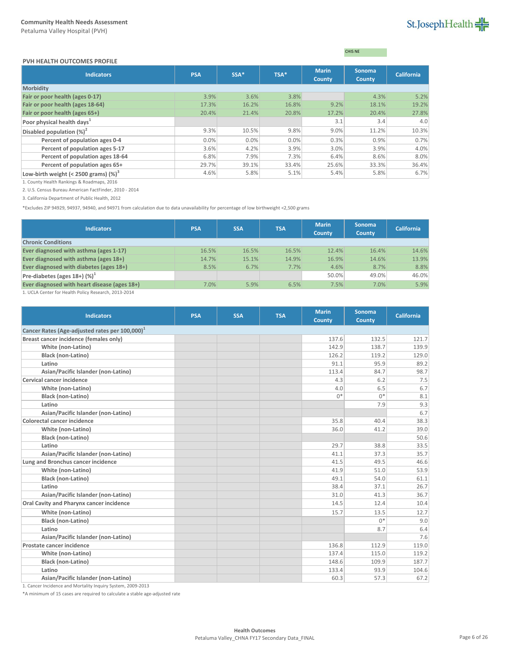#### **PVH HEALTH OUTCOMES PROFILE**

CHIS NE

| <b>Indicators</b>                        | <b>PSA</b> | $SSA*$ | TSA*  | <b>Marin</b><br>County | <b>Sonoma</b><br><b>County</b> | <b>California</b> |
|------------------------------------------|------------|--------|-------|------------------------|--------------------------------|-------------------|
| <b>Morbidity</b>                         |            |        |       |                        |                                |                   |
| Fair or poor health (ages 0-17)          | 3.9%       | 3.6%   | 3.8%  |                        | 4.3%                           | 5.2%              |
| Fair or poor health (ages 18-64)         | 17.3%      | 16.2%  | 16.8% | 9.2%                   | 18.1%                          | 19.2%             |
| Fair or poor health (ages 65+)           | 20.4%      | 21.4%  | 20.8% | 17.2%                  | 20.4%                          | 27.8%             |
| Poor physical health days <sup>1</sup>   |            |        |       | 3.1                    | 3.4                            | 4.0               |
| Disabled population $(\%)^2$             | 9.3%       | 10.5%  | 9.8%  | 9.0%                   | 11.2%                          | 10.3%             |
| Percent of population ages 0-4           | $0.0\%$    | 0.0%   | 0.0%  | 0.3%                   | 0.9%                           | 0.7%              |
| Percent of population ages 5-17          | 3.6%       | 4.2%   | 3.9%  | 3.0%                   | 3.9%                           | 4.0%              |
| Percent of population ages 18-64         | 6.8%       | 7.9%   | 7.3%  | 6.4%                   | 8.6%                           | 8.0%              |
| Percent of population ages 65+           | 29.7%      | 39.1%  | 33.4% | 25.6%                  | 33.3%                          | 36.4%             |
| Low-birth weight (< 2500 grams) $(\%)^3$ | 4.6%       | 5.8%   | 5.1%  | 5.4%                   | 5.8%                           | 6.7%              |

1. County Health Rankings & Roadmaps, 2016

2. U.S. Census Bureau American FactFinder, 2010 - 2014

3. California Department of Public Health, 2012

\*Excludes ZIP 94929, 94937, 94940, and 94971 from calculation due to data unavailability for percentage of low birthweight <2,500 grams

| <b>Indicators</b>                            | <b>PSA</b> | <b>SSA</b> | <b>TSA</b> | <b>Marin</b><br>County | <b>Sonoma</b><br><b>County</b> | <b>California</b> |
|----------------------------------------------|------------|------------|------------|------------------------|--------------------------------|-------------------|
| <b>Chronic Conditions</b>                    |            |            |            |                        |                                |                   |
| Ever diagnosed with asthma (ages 1-17)       | 16.5%      | 16.5%      | 16.5%      | 12.4%                  | 16.4%                          | 14.6%             |
| Ever diagnosed with asthma (ages 18+)        | 14.7%      | 15.1%      | 14.9%      | 16.9%                  | 14.6%                          | 13.9%             |
| Ever diagnosed with diabetes (ages 18+)      | 8.5%       | 6.7%       | 7.7%       | 4.6%                   | 8.7%                           | 8.8%              |
| Pre-diabetes (ages $18+$ ) (%) <sup>1</sup>  |            |            |            | 50.0%                  | 49.0%                          | 46.0%             |
| Ever diagnosed with heart disease (ages 18+) | 7.0%       | 5.9%       | 6.5%       | 7.5%                   | 7.0%                           | 5.9%              |
|                                              |            |            |            |                        |                                |                   |

1. UCLA Center for Health Policy Research, 2013-2014

| <b>Indicators</b>                                          | <b>PSA</b> | <b>SSA</b> | <b>TSA</b> | <b>Marin</b><br><b>County</b> | <b>Sonoma</b><br><b>County</b> | <b>California</b> |  |  |  |
|------------------------------------------------------------|------------|------------|------------|-------------------------------|--------------------------------|-------------------|--|--|--|
| Cancer Rates (Age-adjusted rates per 100,000) <sup>1</sup> |            |            |            |                               |                                |                   |  |  |  |
| Breast cancer incidence (females only)                     |            |            |            | 137.6                         | 132.5                          | 121.7             |  |  |  |
| White (non-Latino)                                         |            |            |            | 142.9                         | 138.7                          | 139.9             |  |  |  |
| <b>Black (non-Latino)</b>                                  |            |            |            | 126.2                         | 119.2                          | 129.0             |  |  |  |
| Latino                                                     |            |            |            | 91.1                          | 95.9                           | 89.2              |  |  |  |
| Asian/Pacific Islander (non-Latino)                        |            |            |            | 113.4                         | 84.7                           | 98.7              |  |  |  |
| <b>Cervical cancer incidence</b>                           |            |            |            | 4.3                           | 6.2                            | 7.5               |  |  |  |
| White (non-Latino)                                         |            |            |            | 4.0                           | 6.5                            | 6.7               |  |  |  |
| <b>Black (non-Latino)</b>                                  |            |            |            | $0*$                          | $0*$                           | 8.1               |  |  |  |
| Latino                                                     |            |            |            |                               | 7.9                            | 9.3               |  |  |  |
| Asian/Pacific Islander (non-Latino)                        |            |            |            |                               |                                | 6.7               |  |  |  |
| <b>Colorectal cancer incidence</b>                         |            |            |            | 35.8                          | 40.4                           | 38.3              |  |  |  |
| White (non-Latino)                                         |            |            |            | 36.0                          | 41.2                           | 39.0              |  |  |  |
| Black (non-Latino)                                         |            |            |            |                               |                                | 50.6              |  |  |  |
| Latino                                                     |            |            |            | 29.7                          | 38.8                           | 33.5              |  |  |  |
| Asian/Pacific Islander (non-Latino)                        |            |            |            | 41.1                          | 37.3                           | 35.7              |  |  |  |
| Lung and Bronchus cancer incidence                         |            |            |            | 41.5                          | 49.5                           | 46.6              |  |  |  |
| White (non-Latino)                                         |            |            |            | 41.9                          | 51.0                           | 53.9              |  |  |  |
| Black (non-Latino)                                         |            |            |            | 49.1                          | 54.0                           | 61.1              |  |  |  |
| Latino                                                     |            |            |            | 38.4                          | 37.1                           | 26.7              |  |  |  |
| Asian/Pacific Islander (non-Latino)                        |            |            |            | 31.0                          | 41.3                           | 36.7              |  |  |  |
| Oral Cavity and Pharynx cancer incidence                   |            |            |            | 14.5                          | 12.4                           | 10.4              |  |  |  |
| White (non-Latino)                                         |            |            |            | 15.7                          | 13.5                           | 12.7              |  |  |  |
| <b>Black (non-Latino)</b>                                  |            |            |            |                               | $0*$                           | 9.0               |  |  |  |
| Latino                                                     |            |            |            |                               | 8.7                            | 6.4               |  |  |  |
| Asian/Pacific Islander (non-Latino)                        |            |            |            |                               |                                | 7.6               |  |  |  |
| Prostate cancer incidence                                  |            |            |            | 136.8                         | 112.9                          | 119.0             |  |  |  |
| White (non-Latino)                                         |            |            |            | 137.4                         | 115.0                          | 119.2             |  |  |  |
| Black (non-Latino)                                         |            |            |            | 148.6                         | 109.9                          | 187.7             |  |  |  |
| Latino                                                     |            |            |            | 133.4                         | 93.9                           | 104.6             |  |  |  |
| Asian/Pacific Islander (non-Latino)                        |            |            |            | 60.3                          | 57.3                           | 67.2              |  |  |  |

1. Cancer Incidence and Mortality Inquiry System, 2009-2013

\*A minimum of 15 cases are required to calculate a stable age-adjusted rate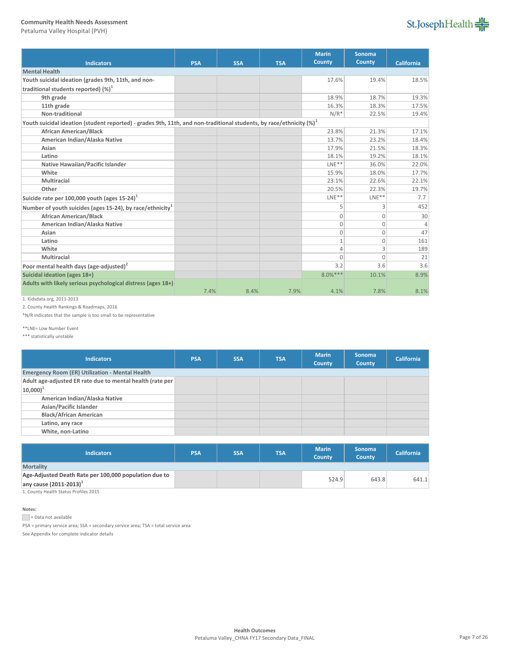Petaluma Valley Hospital (PVH)



|                                                                                                                         |            |            |            | <b>Marin</b> | <b>Sonoma</b> |                   |
|-------------------------------------------------------------------------------------------------------------------------|------------|------------|------------|--------------|---------------|-------------------|
| <b>Indicators</b>                                                                                                       | <b>PSA</b> | <b>SSA</b> | <b>TSA</b> | County       | <b>County</b> | <b>California</b> |
| <b>Mental Health</b>                                                                                                    |            |            |            |              |               |                   |
| Youth suicidal ideation (grades 9th, 11th, and non-                                                                     |            |            |            | 17.6%        | 19.4%         | 18.5%             |
| traditional students reported) $(\%)^1$                                                                                 |            |            |            |              |               |                   |
| 9th grade                                                                                                               |            |            |            | 18.9%        | 18.7%         | 19.3%             |
| 11th grade                                                                                                              |            |            |            | 16.3%        | 18.3%         | 17.5%             |
| Non-traditional                                                                                                         |            |            |            | $N/R^*$      | 22.5%         | 19.4%             |
| Youth suicidal ideation (student reported) - grades 9th, 11th, and non-traditional students, by race/ethnicity $(\%)^1$ |            |            |            |              |               |                   |
| <b>African American/Black</b>                                                                                           |            |            |            | 23.8%        | 21.3%         | 17.1%             |
| American Indian/Alaska Native                                                                                           |            |            |            | 13.7%        | 23.2%         | 18.4%             |
| Asian                                                                                                                   |            |            |            | 17.9%        | 21.5%         | 18.3%             |
| Latino                                                                                                                  |            |            |            | 18.1%        | 19.2%         | 18.1%             |
| Native Hawaiian/Pacific Islander                                                                                        |            |            |            | $LNE**$      | 36.0%         | 22.0%             |
| White                                                                                                                   |            |            |            | 15.9%        | 18.0%         | 17.7%             |
| Multiracial                                                                                                             |            |            |            | 23.1%        | 22.6%         | 22.1%             |
| Other                                                                                                                   |            |            |            | 20.5%        | 22.3%         | 19.7%             |
| Suicide rate per 100,000 youth (ages $15-24$ )                                                                          |            |            |            | $LNE**$      | $LNE**$       | 7.7               |
| Number of youth suicides (ages 15-24), by race/ethnicity <sup>1</sup>                                                   |            |            |            | 5            | 3             | 452               |
| <b>African American/Black</b>                                                                                           |            |            |            | 0            | $\mathbf{0}$  | 30                |
| American Indian/Alaska Native                                                                                           |            |            |            | $\mathbf{0}$ | $\mathbf{0}$  | $\Delta$          |
| Asian                                                                                                                   |            |            |            | $\mathbf{0}$ | $\mathbf{0}$  | 47                |
| Latino                                                                                                                  |            |            |            | $\mathbf{1}$ | $\mathbf 0$   | 161               |
| White                                                                                                                   |            |            |            | 4            | 3             | 189               |
| Multiracial                                                                                                             |            |            |            | $\Omega$     | $\Omega$      | 21                |
| Poor mental health days (age-adjusted) <sup>2</sup>                                                                     |            |            |            | 3.2          | 3.6           | 3.6               |
| Suicidal ideation (ages 18+)                                                                                            |            |            |            | $8.0%***$    | 10.1%         | 8.9%              |
| Adults with likely serious psychological distress (ages 18+)                                                            |            |            |            |              |               |                   |
|                                                                                                                         | 7.4%       | 8.4%       | 7.9%       | 4.1%         | 7.8%          | 8.1%              |

1. Kidsdata.org, 2011-2013

2. County Health Rankings & Roadmaps, 2016

\*N/R indicates that the sample is too small to be representative

\*\*LNE= Low Number Event

\*\*\* statistically unstable

| <b>Indicators</b>                                         | <b>PSA</b> | <b>SSA</b> | <b>TSA</b> | <b>Marin</b><br>County | <b>Sonoma</b><br><b>County</b> | California |
|-----------------------------------------------------------|------------|------------|------------|------------------------|--------------------------------|------------|
| <b>Emergency Room (ER) Utilization - Mental Health</b>    |            |            |            |                        |                                |            |
| Adult age-adjusted ER rate due to mental health (rate per |            |            |            |                        |                                |            |
| $ 10,000 ^{1}$                                            |            |            |            |                        |                                |            |
| American Indian/Alaska Native                             |            |            |            |                        |                                |            |
| Asian/Pacific Islander                                    |            |            |            |                        |                                |            |
| <b>Black/African American</b>                             |            |            |            |                        |                                |            |
| Latino, any race                                          |            |            |            |                        |                                |            |
| White, non-Latino                                         |            |            |            |                        |                                |            |
|                                                           |            |            |            |                        |                                |            |

| <b>Indicators</b>                                     | <b>PSA</b> | <b>SSA</b> | <b>TSA</b> | <b>Marin</b><br><b>County</b> | <b>Sonoma</b><br><b>County</b> | <b>California</b> |
|-------------------------------------------------------|------------|------------|------------|-------------------------------|--------------------------------|-------------------|
| <b>Mortality</b>                                      |            |            |            |                               |                                |                   |
| Age-Adjusted Death Rate per 100,000 population due to |            |            |            |                               |                                |                   |
| any cause $(2011 - 2013)^{1}$                         |            |            |            | 524.9                         | 643.8                          | 641.1             |
| 4. Constantino life Chapters Deadline 2045            |            |            |            |                               |                                |                   |

1. County Health Status Profiles 2015

### **Notes:**

Data not available

PSA = primary service area; SSA = secondary service area; TSA = total service area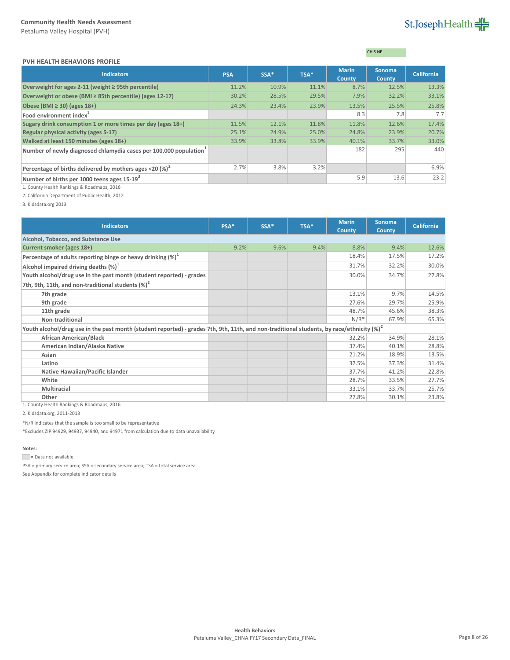# St.JosephHealth

| <b>PVH HEALTH BEHAVIORS PROFILE</b> |  |
|-------------------------------------|--|
|                                     |  |

# CHIS NE

| <b>Indicators</b>                                                       | <b>PSA</b> | SSA*  | TSA*  | <b>Marin</b><br><b>County</b> | <b>Sonoma</b><br><b>County</b> | <b>California</b> |
|-------------------------------------------------------------------------|------------|-------|-------|-------------------------------|--------------------------------|-------------------|
| Overweight for ages 2-11 (weight $\geq$ 95th percentile)                | 11.2%      | 10.9% | 11.1% | 8.7%                          | 12.5%                          | 13.3%             |
| Overweight or obese (BMI ≥ 85th percentile) (ages 12-17)                | 30.2%      | 28.5% | 29.5% | 7.9%                          | 32.2%                          | 33.1%             |
| Obese (BMI $\geq$ 30) (ages 18+)                                        | 24.3%      | 23.4% | 23.9% | 13.5%                         | 25.5%                          | 25.8%             |
| Food environment index <sup>1</sup>                                     |            |       |       | 8.3                           | 7.8                            | 7.7               |
| Sugary drink consumption 1 or more times per day (ages 18+)             | 11.5%      | 12.1% | 11.8% | 11.8%                         | 12.6%                          | 17.4%             |
| Regular physical activity (ages 5-17)                                   | 25.1%      | 24.9% | 25.0% | 24.8%                         | 23.9%                          | 20.7%             |
| Walked at least 150 minutes (ages 18+)                                  | 33.9%      | 33.8% | 33.9% | 40.1%                         | 33.7%                          | 33.0%             |
| Number of newly diagnosed chlamydia cases per 100,000 population        |            |       |       | 182                           | 295                            | 440               |
| Percentage of births delivered by mothers ages <20 $\left(\% \right)^2$ | 2.7%       | 3.8%  | 3.2%  |                               |                                | 6.9%              |
| Number of births per 1000 teens ages 15-19 <sup>3</sup>                 |            |       |       | 5.9                           | 13.6                           | 23.2              |

1. County Health Rankings & Roadmaps, 2016

2. California Department of Public Health, 2012

3. Kidsdata.org 2013

| <b>Indicators</b>                                                                                                                                          | PSA* | SSA* | TSA* | <b>Marin</b><br><b>County</b> | Sonoma<br><b>County</b> | <b>California</b> |
|------------------------------------------------------------------------------------------------------------------------------------------------------------|------|------|------|-------------------------------|-------------------------|-------------------|
| Alcohol, Tobacco, and Substance Use                                                                                                                        |      |      |      |                               |                         |                   |
| Current smoker (ages 18+)                                                                                                                                  | 9.2% | 9.6% | 9.4% | 8.8%                          | 9.4%                    | 12.6%             |
| Percentage of adults reporting binge or heavy drinking $(\%)^1$                                                                                            |      |      |      | 18.4%                         | 17.5%                   | 17.2%             |
| Alcohol impaired driving deaths $(\%)^1$                                                                                                                   |      |      |      | 31.7%                         | 32.2%                   | 30.0%             |
| Youth alcohol/drug use in the past month (student reported) - grades                                                                                       |      |      |      | 30.0%                         | 34.7%                   | 27.8%             |
| 7th, 9th, 11th, and non-traditional students $(\%)^2$                                                                                                      |      |      |      |                               |                         |                   |
| 7th grade                                                                                                                                                  |      |      |      | 13.1%                         | 9.7%                    | 14.5%             |
| 9th grade                                                                                                                                                  |      |      |      | 27.6%                         | 29.7%                   | 25.9%             |
| 11th grade                                                                                                                                                 |      |      |      | 48.7%                         | 45.6%                   | 38.3%             |
| Non-traditional                                                                                                                                            |      |      |      | $N/R^*$                       | 67.9%                   | 65.3%             |
| Youth alcohol/drug use in the past month (student reported) - grades 7th, 9th, 11th, and non-traditional students, by race/ethnicity $\left( \% \right)^2$ |      |      |      |                               |                         |                   |
| <b>African American/Black</b>                                                                                                                              |      |      |      | 32.2%                         | 34.9%                   | 28.1%             |
| American Indian/Alaska Native                                                                                                                              |      |      |      | 37.4%                         | 40.1%                   | 28.8%             |
| Asian                                                                                                                                                      |      |      |      | 21.2%                         | 18.9%                   | 13.5%             |
| Latino                                                                                                                                                     |      |      |      | 32.5%                         | 37.3%                   | 31.4%             |
| Native Hawaiian/Pacific Islander                                                                                                                           |      |      |      | 37.7%                         | 41.2%                   | 22.8%             |
| White                                                                                                                                                      |      |      |      | 28.7%                         | 33.5%                   | 27.7%             |
| <b>Multiracial</b>                                                                                                                                         |      |      |      | 33.1%                         | 33.7%                   | 25.7%             |
| Other<br>$0.1 \times 10^{-1}$ and $0.1 \times 10^{-1}$ and $0.01 \times 10^{-1}$ and $0.01 \times 10^{-1}$                                                 |      |      |      | 27.8%                         | 30.1%                   | 23.8%             |

1. County Health Rankings & Roadmaps, 2016

2. Kidsdata.org, 2011-2013

\*N/R indicates that the sample is too small to be representative

\*Excludes ZIP 94929, 94937, 94940, and 94971 from calculation due to data unavailability

## **Notes:**

Data not available

PSA = primary service area; SSA = secondary service area; TSA = total service area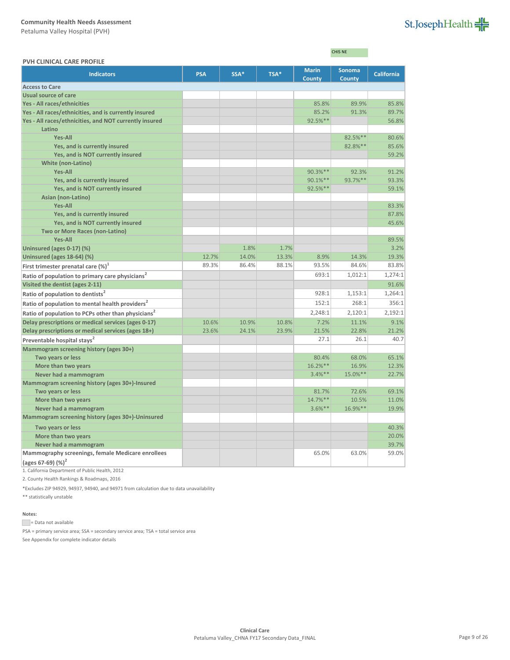Petaluma Valley Hospital (PVH)

| St.JosephHealth |  |
|-----------------|--|
|-----------------|--|

CHIS NE

| <b>PVH CLINICAL CARE PROFILE</b>                                   |            |       |       |                        |                                |                   |
|--------------------------------------------------------------------|------------|-------|-------|------------------------|--------------------------------|-------------------|
| <b>Indicators</b>                                                  | <b>PSA</b> | SSA*  | TSA*  | <b>Marin</b><br>County | <b>Sonoma</b><br><b>County</b> | <b>California</b> |
| <b>Access to Care</b>                                              |            |       |       |                        |                                |                   |
| Usual source of care                                               |            |       |       |                        |                                |                   |
| Yes - All races/ethnicities                                        |            |       |       | 85.8%                  | 89.9%                          | 85.8%             |
| Yes - All races/ethnicities, and is currently insured              |            |       |       | 85.2%                  | 91.3%                          | 89.7%             |
| Yes - All races/ethnicities, and NOT currently insured             |            |       |       | 92.5%**                |                                | 56.8%             |
| Latino                                                             |            |       |       |                        |                                |                   |
| <b>Yes-All</b>                                                     |            |       |       |                        | 82.5%**                        | 80.6%             |
| Yes, and is currently insured                                      |            |       |       |                        | 82.8% **                       | 85.6%             |
| Yes, and is NOT currently insured                                  |            |       |       |                        |                                | 59.2%             |
| <b>White (non-Latino)</b>                                          |            |       |       |                        |                                |                   |
| <b>Yes-All</b>                                                     |            |       |       | 90.3%**                | 92.3%                          | 91.2%             |
| Yes, and is currently insured                                      |            |       |       | 90.1%**                | 93.7%**                        | 93.3%             |
| Yes, and is NOT currently insured                                  |            |       |       | 92.5%**                |                                | 59.1%             |
| Asian (non-Latino)                                                 |            |       |       |                        |                                |                   |
| <b>Yes-All</b>                                                     |            |       |       |                        |                                | 83.3%             |
| Yes, and is currently insured                                      |            |       |       |                        |                                | 87.8%             |
| Yes, and is NOT currently insured                                  |            |       |       |                        |                                | 45.6%             |
| <b>Two or More Races (non-Latino)</b>                              |            |       |       |                        |                                |                   |
| <b>Yes-All</b>                                                     |            |       |       |                        |                                | 89.5%             |
| Uninsured (ages 0-17) (%)                                          |            | 1.8%  | 1.7%  |                        |                                | 3.2%              |
| Uninsured (ages 18-64) (%)                                         | 12.7%      | 14.0% | 13.3% | 8.9%                   | 14.3%                          | 19.3%             |
| First trimester prenatal care $(\%)^1$                             | 89.3%      | 86.4% | 88.1% | 93.5%                  | 84.6%                          | 83.8%             |
| Ratio of population to primary care physicians <sup>2</sup>        |            |       |       | 693:1                  | 1,012:1                        | 1,274:1           |
| Visited the dentist (ages 2-11)                                    |            |       |       |                        |                                | 91.6%             |
| Ratio of population to dentists <sup>2</sup>                       |            |       |       | 928:1                  | 1,153:1                        | 1,264:1           |
| Ratio of population to mental health providers <sup>2</sup>        |            |       |       | 152:1                  | 268:1                          | 356:1             |
| Ratio of population to PCPs other than physicians <sup>2</sup>     |            |       |       | 2,248:1                | 2,120:1                        | 2,192:1           |
| Delay prescriptions or medical services (ages 0-17)                | 10.6%      | 10.9% | 10.8% | 7.2%                   | 11.1%                          | 9.1%              |
| Delay prescriptions or medical services (ages 18+)                 | 23.6%      | 24.1% | 23.9% | 21.5%                  | 22.8%                          | 21.2%             |
| Preventable hospital stays <sup>2</sup>                            |            |       |       | 27.1                   | 26.1                           | 40.7              |
| Mammogram screening history (ages 30+)                             |            |       |       |                        |                                |                   |
| Two years or less                                                  |            |       |       | 80.4%                  | 68.0%                          | 65.1%             |
| More than two years                                                |            |       |       | 16.2%**                | 16.9%                          | 12.3%             |
| Never had a mammogram                                              |            |       |       | $3.4%$ **              | 15.0%**                        | 22.7%             |
| Mammogram screening history (ages 30+)-Insured                     |            |       |       |                        |                                |                   |
| Two years or less                                                  |            |       |       | 81.7%                  | 72.6%                          | 69.1%             |
| More than two years                                                |            |       |       | 14.7%**                | 10.5%                          | 11.0%             |
| Never had a mammogram                                              |            |       |       | $3.6%$ **              | 16.9%**                        | 19.9%             |
| Mammogram screening history (ages 30+)-Uninsured                   |            |       |       |                        |                                |                   |
| Two years or less                                                  |            |       |       |                        |                                | 40.3%             |
| More than two years                                                |            |       |       |                        |                                | 20.0%             |
| Never had a mammogram                                              |            |       |       |                        |                                | 39.7%             |
| Mammography screenings, female Medicare enrollees<br>$\frac{1}{2}$ |            |       |       | 65.0%                  | 63.0%                          | 59.0%             |
|                                                                    |            |       |       |                        |                                |                   |

**(ages 67-69) (%)<sup>2</sup>**

1. California Department of Public Health, 2012

2. County Health Rankings & Roadmaps, 2016

\*Excludes ZIP 94929, 94937, 94940, and 94971 from calculation due to data unavailability

\*\* statistically unstable

### **Notes:**

= Data not available

PSA = primary service area; SSA = secondary service area; TSA = total service area See Appendix for complete indicator details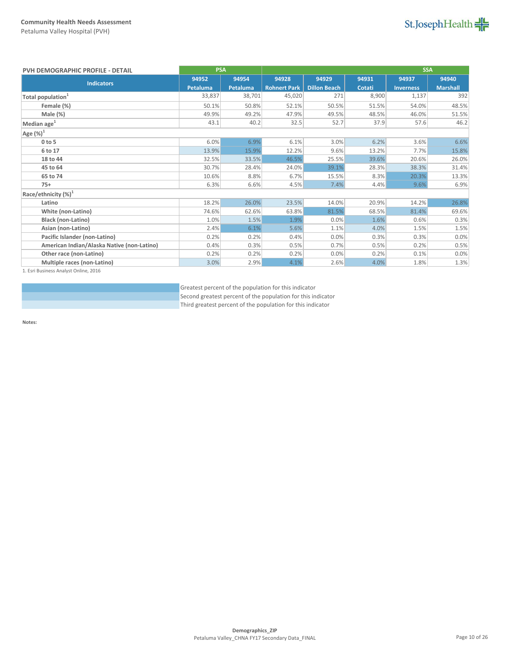

| PVH DEMOGRAPHIC PROFILE - DETAIL           | <b>PSA</b>      |          | <b>SSA</b>          |                     |        |                  |                 |
|--------------------------------------------|-----------------|----------|---------------------|---------------------|--------|------------------|-----------------|
| <b>Indicators</b>                          | 94952           | 94954    | 94928               | 94929               | 94931  | 94937            | 94940           |
|                                            | <b>Petaluma</b> | Petaluma | <b>Rohnert Park</b> | <b>Dillon Beach</b> | Cotati | <b>Inverness</b> | <b>Marshall</b> |
| Total population <sup>1</sup>              | 33.837          | 38,701   | 45,020              | 271                 | 8,900  | 1,137            | 392             |
| Female (%)                                 | 50.1%           | 50.8%    | 52.1%               | 50.5%               | 51.5%  | 54.0%            | 48.5%           |
| Male (%)                                   | 49.9%           | 49.2%    | 47.9%               | 49.5%               | 48.5%  | 46.0%            | 51.5%           |
| Median age <sup>1</sup>                    | 43.1            | 40.2     | 32.5                | 52.7                | 37.9   | 57.6             | 46.2            |
| Age $(\%)^1$                               |                 |          |                     |                     |        |                  |                 |
| $0$ to $5$                                 | 6.0%            | 6.9%     | 6.1%                | 3.0%                | 6.2%   | 3.6%             | 6.6%            |
| 6 to 17                                    | 13.9%           | 15.9%    | 12.2%               | 9.6%                | 13.2%  | 7.7%             | 15.8%           |
| 18 to 44                                   | 32.5%           | 33.5%    | 46.5%               | 25.5%               | 39.6%  | 20.6%            | 26.0%           |
| 45 to 64                                   | 30.7%           | 28.4%    | 24.0%               | 39.1%               | 28.3%  | 38.3%            | 31.4%           |
| 65 to 74                                   | 10.6%           | 8.8%     | 6.7%                | 15.5%               | 8.3%   | 20.3%            | 13.3%           |
| $75+$                                      | 6.3%            | 6.6%     | 4.5%                | 7.4%                | 4.4%   | 9.6%             | 6.9%            |
| Race/ethnicity $(\%)^1$                    |                 |          |                     |                     |        |                  |                 |
| Latino                                     | 18.2%           | 26.0%    | 23.5%               | 14.0%               | 20.9%  | 14.2%            | 26.8%           |
| White (non-Latino)                         | 74.6%           | 62.6%    | 63.8%               | 81.5%               | 68.5%  | 81.4%            | 69.6%           |
| <b>Black (non-Latino)</b>                  | 1.0%            | 1.5%     | 1.9%                | 0.0%                | 1.6%   | 0.6%             | 0.3%            |
| Asian (non-Latino)                         | 2.4%            | 6.1%     | 5.6%                | 1.1%                | 4.0%   | 1.5%             | 1.5%            |
| Pacific Islander (non-Latino)              | 0.2%            | 0.2%     | 0.4%                | 0.0%                | 0.3%   | 0.3%             | 0.0%            |
| American Indian/Alaska Native (non-Latino) | 0.4%            | 0.3%     | 0.5%                | 0.7%                | 0.5%   | 0.2%             | 0.5%            |
| Other race (non-Latino)                    | 0.2%            | 0.2%     | 0.2%                | 0.0%                | 0.2%   | 0.1%             | 0.0%            |
| Multiple races (non-Latino)                | 3.0%            | 2.9%     | 4.1%                | 2.6%                | 4.0%   | 1.8%             | 1.3%            |

1. Esri Business Analyst Online, 2016

Greatest percent of the population for this indicator Second greatest percent of the population for this indicator Third greatest percent of the population for this indicator

**Notes:**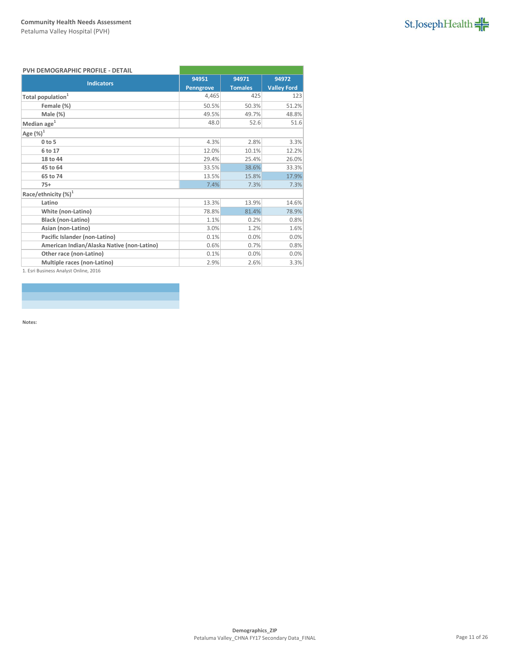

## **PVH DEMOGRAPHIC PROFILE - DETAIL**

| <b>Indicators</b>                          | 94951            | 94971          | 94972              |  |  |  |  |
|--------------------------------------------|------------------|----------------|--------------------|--|--|--|--|
|                                            | <b>Penngrove</b> | <b>Tomales</b> | <b>Valley Ford</b> |  |  |  |  |
| Total population <sup>1</sup>              | 4,465            | 425            | 123                |  |  |  |  |
| Female (%)                                 | 50.5%            | 50.3%          | 51.2%              |  |  |  |  |
| Male (%)                                   | 49.5%            | 49.7%          | 48.8%              |  |  |  |  |
| Median age <sup>1</sup>                    | 48.0             | 52.6           | 51.6               |  |  |  |  |
| Age $(\%)^1$                               |                  |                |                    |  |  |  |  |
| $0$ to 5                                   | 4.3%             | 2.8%           | 3.3%               |  |  |  |  |
| 6 to 17                                    | 12.0%            | 10.1%          | 12.2%              |  |  |  |  |
| 18 to 44                                   | 29.4%            | 25.4%          | 26.0%              |  |  |  |  |
| 45 to 64                                   | 33.5%            | 38.6%          | 33.3%              |  |  |  |  |
| 65 to 74                                   | 13.5%            | 15.8%          | 17.9%              |  |  |  |  |
| $75+$                                      | 7.4%             | 7.3%           | 7.3%               |  |  |  |  |
| Race/ethnicity $(\%)^1$                    |                  |                |                    |  |  |  |  |
| Latino                                     | 13.3%            | 13.9%          | 14.6%              |  |  |  |  |
| White (non-Latino)                         | 78.8%            | 81.4%          | 78.9%              |  |  |  |  |
| <b>Black (non-Latino)</b>                  | 1.1%             | 0.2%           | 0.8%               |  |  |  |  |
| Asian (non-Latino)                         | 3.0%             | 1.2%           | 1.6%               |  |  |  |  |
| Pacific Islander (non-Latino)              | 0.1%             | 0.0%           | 0.0%               |  |  |  |  |
| American Indian/Alaska Native (non-Latino) | 0.6%             | 0.7%           | 0.8%               |  |  |  |  |
| Other race (non-Latino)                    | 0.1%             | 0.0%           | 0.0%               |  |  |  |  |
| Multiple races (non-Latino)                | 2.9%             | 2.6%           | 3.3%               |  |  |  |  |
|                                            |                  |                |                    |  |  |  |  |

1. Esri Business Analyst Online, 2016

**Notes:**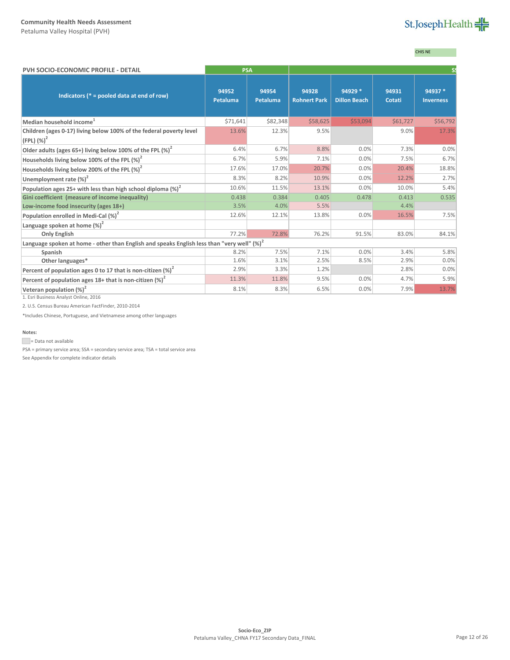Petaluma Valley Hospital (PVH)

# St.JosephHealth

# CHIS NE

| PVH SOCIO-ECONOMIC PROFILE - DETAIL                                                                                   | <b>PSA</b>        |                          |                              |                                |                 |                             |
|-----------------------------------------------------------------------------------------------------------------------|-------------------|--------------------------|------------------------------|--------------------------------|-----------------|-----------------------------|
| Indicators ( $* =$ pooled data at end of row)                                                                         | 94952<br>Petaluma | 94954<br><b>Petaluma</b> | 94928<br><b>Rohnert Park</b> | 94929 *<br><b>Dillon Beach</b> | 94931<br>Cotati | 94937 *<br><b>Inverness</b> |
| Median household income <sup>1</sup>                                                                                  | \$71,641          | \$82,348                 | \$58,625                     | \$53,094                       | \$61,727        | \$56,792                    |
| Children (ages 0-17) living below 100% of the federal poverty level<br>$(FPL)$ $(\%)^2$                               | 13.6%             | 12.3%                    | 9.5%                         |                                | 9.0%            | 17.3%                       |
| Older adults (ages 65+) living below 100% of the FPL $(\%)^2$                                                         | 6.4%              | 6.7%                     | 8.8%                         | 0.0%                           | 7.3%            | 0.0%                        |
| Households living below 100% of the FPL $(\%)^2$                                                                      | 6.7%              | 5.9%                     | 7.1%                         | 0.0%                           | 7.5%            | 6.7%                        |
| Households living below 200% of the FPL $(\%)^2$                                                                      | 17.6%             | 17.0%                    | 20.7%                        | 0.0%                           | 20.4%           | 18.8%                       |
| Unemployment rate $(\%)^2$                                                                                            | 8.3%              | 8.2%                     | 10.9%                        | 0.0%                           | 12.2%           | 2.7%                        |
| Population ages 25+ with less than high school diploma $(\%)^2$                                                       | 10.6%             | 11.5%                    | 13.1%                        | 0.0%                           | 10.0%           | 5.4%                        |
| Gini coefficient (measure of income inequality)                                                                       | 0.438             | 0.384                    | 0.405                        | 0.478                          | 0.413           | 0.535                       |
| Low-income food insecurity (ages 18+)                                                                                 | 3.5%              | 4.0%                     | 5.5%                         |                                | 4.4%            |                             |
| Population enrolled in Medi-Cal $(\%)^2$                                                                              | 12.6%             | 12.1%                    | 13.8%                        | 0.0%                           | 16.5%           | 7.5%                        |
| Language spoken at home $(\%)^2$                                                                                      |                   |                          |                              |                                |                 |                             |
| <b>Only English</b>                                                                                                   | 77.2%             | 72.8%                    | 76.2%                        | 91.5%                          | 83.0%           | 84.1%                       |
| Language spoken at home - other than English and speaks English less than "very well" (%) <sup>2</sup>                |                   |                          |                              |                                |                 |                             |
| Spanish                                                                                                               | 8.2%              | 7.5%                     | 7.1%                         | 0.0%                           | 3.4%            | 5.8%                        |
| Other languages*                                                                                                      | 1.6%              | 3.1%                     | 2.5%                         | 8.5%                           | 2.9%            | 0.0%                        |
| Percent of population ages 0 to 17 that is non-citizen $(\%)^2$                                                       | 2.9%              | 3.3%                     | 1.2%                         |                                | 2.8%            | 0.0%                        |
| Percent of population ages 18+ that is non-citizen $(\%)^2$                                                           | 11.3%             | 11.8%                    | 9.5%                         | 0.0%                           | 4.7%            | 5.9%                        |
| Veteran population $(\%)^2$<br>$\alpha$ . Further that the second control $\alpha$ is the second function of $\alpha$ | 8.1%              | 8.3%                     | 6.5%                         | 0.0%                           | 7.9%            | 13.7%                       |

1. Esri Business Analyst Online, 2016

2. U.S. Census Bureau American FactFinder, 2010-2014

\*Includes Chinese, Portuguese, and Vietnamese among other languages

#### **Notes:**

Data not available

PSA = primary service area; SSA = secondary service area; TSA = total service area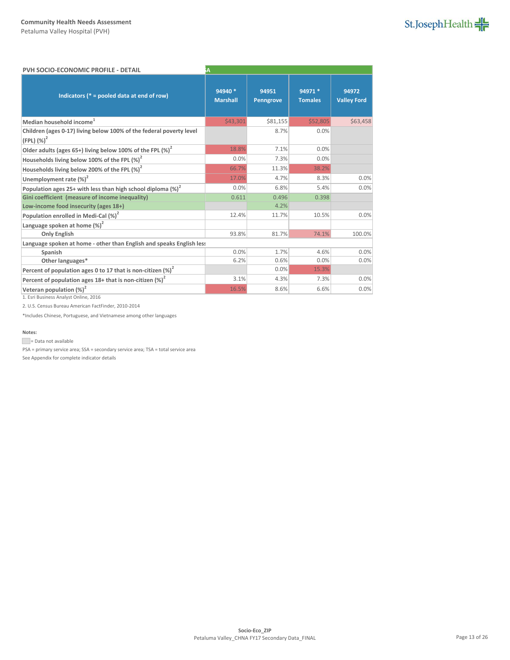| St.JosephHealth |  |
|-----------------|--|

| PVH SOCIO-ECONOMIC PROFILE - DETAIL                                                     | A                          |                           |                           |                             |
|-----------------------------------------------------------------------------------------|----------------------------|---------------------------|---------------------------|-----------------------------|
| Indicators ( $* =$ pooled data at end of row)                                           | 94940 *<br><b>Marshall</b> | 94951<br><b>Penngrove</b> | 94971 *<br><b>Tomales</b> | 94972<br><b>Valley Ford</b> |
| Median household income <sup>1</sup>                                                    | \$43,301                   | \$81,155                  | \$52,805                  | \$63,458                    |
| Children (ages 0-17) living below 100% of the federal poverty level<br>$(FPL)$ $(\%)^2$ |                            | 8.7%                      | 0.0%                      |                             |
| Older adults (ages 65+) living below 100% of the FPL (%) <sup>2</sup>                   | 18.8%                      | 7.1%                      | 0.0%                      |                             |
| Households living below 100% of the FPL $(\%)^2$                                        | 0.0%                       | 7.3%                      | 0.0%                      |                             |
| Households living below 200% of the FPL (%) <sup>2</sup>                                | 66.7%                      | 11.3%                     | 38.2%                     |                             |
| Unemployment rate $(\%)^2$                                                              | 17.0%                      | 4.7%                      | 8.3%                      | 0.0%                        |
| Population ages 25+ with less than high school diploma (%) <sup>2</sup>                 | 0.0%                       | 6.8%                      | 5.4%                      | 0.0%                        |
| Gini coefficient (measure of income inequality)                                         | 0.611                      | 0.496                     | 0.398                     |                             |
| Low-income food insecurity (ages 18+)                                                   |                            | 4.2%                      |                           |                             |
| Population enrolled in Medi-Cal $(\%)^2$                                                | 12.4%                      | 11.7%                     | 10.5%                     | 0.0%                        |
| Language spoken at home $(\%)^2$                                                        |                            |                           |                           |                             |
| <b>Only English</b>                                                                     | 93.8%                      | 81.7%                     | 74.1%                     | 100.0%                      |
| Language spoken at home - other than English and speaks English less                    |                            |                           |                           |                             |
| Spanish                                                                                 | 0.0%                       | 1.7%                      | 4.6%                      | 0.0%                        |
| Other languages*                                                                        | 6.2%                       | 0.6%                      | 0.0%                      | 0.0%                        |
| Percent of population ages 0 to 17 that is non-citizen $(\%)^2$                         |                            | 0.0%                      | 15.3%                     |                             |
| Percent of population ages $18+$ that is non-citizen (%) <sup>2</sup>                   | 3.1%                       | 4.3%                      | 7.3%                      | 0.0%                        |
| Veteran population $(\%)^2$                                                             | 16.5%                      | 8.6%                      | 6.6%                      | 0.0%                        |

1. Esri Business Analyst Online, 2016

2. U.S. Census Bureau American FactFinder, 2010-2014

\*Includes Chinese, Portuguese, and Vietnamese among other languages

#### **Notes:**

Data not available

PSA = primary service area; SSA = secondary service area; TSA = total service area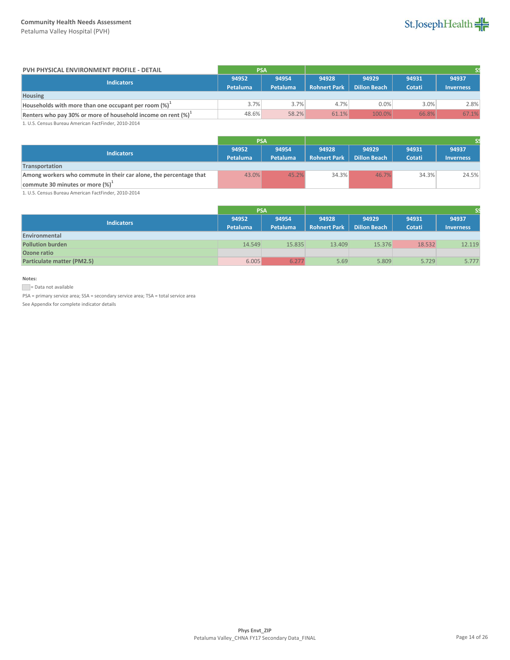Petaluma Valley Hospital (PVH)



| PVH PHYSICAL ENVIRONMENT PROFILE - DETAIL                        | <b>PSA</b> |          |                     |                     |        |                  |  |
|------------------------------------------------------------------|------------|----------|---------------------|---------------------|--------|------------------|--|
| Indicators                                                       | 94952      | 94954    | 94928               | 94929               | 94931  | 94937            |  |
|                                                                  | Petaluma   | Petaluma | <b>Rohnert Park</b> | <b>Dillon Beach</b> | Cotati | <b>Inverness</b> |  |
| <b>Housing</b>                                                   |            |          |                     |                     |        |                  |  |
| Households with more than one occupant per room (%) <sup>+</sup> | 3.7%       | 3.7%     | 4.7%                | 0.0%                | 3.0%   | 2.8%             |  |
| Renters who pay 30% or more of household income on rent $(\%)^1$ | 48.6%      | 58.2%    | 61.1%               | 100.0%              | 66.8%  | 67.1%            |  |

1. U.S. Census Bureau American FactFinder, 2010-2014

|                                                                   | <b>PSA</b> |          |                     |                     |        |                  |
|-------------------------------------------------------------------|------------|----------|---------------------|---------------------|--------|------------------|
| <b>Indicators</b>                                                 | 94952      | 94954    | 94928               | 94929               | 94931  | 94937            |
|                                                                   | Petaluma   | Petaluma | <b>Rohnert Park</b> | <b>Dillon Beach</b> | Cotati | <b>Inverness</b> |
| Transportation                                                    |            |          |                     |                     |        |                  |
| Among workers who commute in their car alone, the percentage that | 43.0%      | 45.2%    | 34.3%               | 46.7%               | 34.3%  | 24.5%            |
| commute 30 minutes or more $(\%)^{\perp}$                         |            |          |                     |                     |        |                  |

1. U.S. Census Bureau American FactFinder, 2010-2014

|                                   | <b>PSA</b>               |                          |                              |                              |                 |                           |
|-----------------------------------|--------------------------|--------------------------|------------------------------|------------------------------|-----------------|---------------------------|
| <b>Indicators</b>                 | 94952<br><b>Petaluma</b> | 94954<br><b>Petaluma</b> | 94928<br><b>Rohnert Park</b> | 94929<br><b>Dillon Beach</b> | 94931<br>Cotati | 94937<br><b>Inverness</b> |
| Environmental                     |                          |                          |                              |                              |                 |                           |
| <b>Pollution burden</b>           | 14.549                   | 15.835                   | 13.409                       | 15.376                       | 18.532          | 12.119                    |
| Ozone ratio                       |                          |                          |                              |                              |                 |                           |
| <b>Particulate matter (PM2.5)</b> | 6.005                    | 6.277                    | 5.69                         | 5.809                        | 5.729           | 5.777                     |

## **Notes:**

= Data not available

PSA = primary service area; SSA = secondary service area; TSA = total service area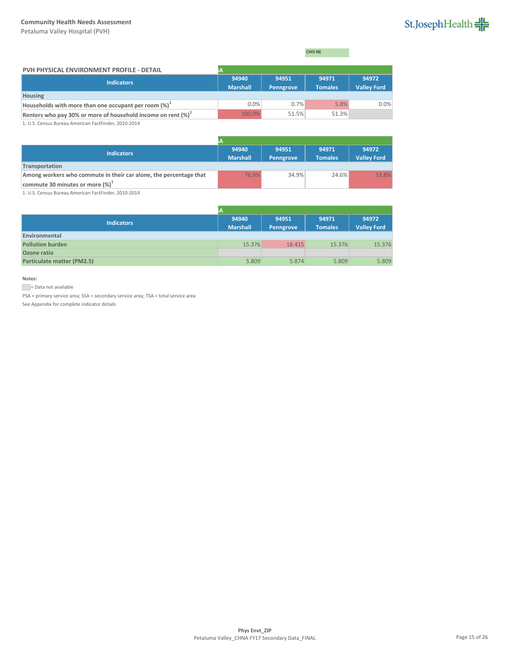Petaluma Valley Hospital (PVH)

# St.JosephHealth

CHIS NE

| PVH PHYSICAL ENVIRONMENT PROFILE - DETAIL                        |                          |                    |                         |                             |
|------------------------------------------------------------------|--------------------------|--------------------|-------------------------|-----------------------------|
| <b>Indicators</b>                                                | 94940<br><b>Marshall</b> | 94951<br>Penngrove | 94971<br><b>Tomales</b> | 94972<br><b>Valley Ford</b> |
| <b>Housing</b>                                                   |                          |                    |                         |                             |
| Households with more than one occupant per room $(\%)^{\perp}$   | 0.0%                     | 0.7%               | 5.8%                    | 0.0%                        |
| Renters who pay 30% or more of household income on rent $(\%)^1$ | 100.0%                   | 51.5%              | 51.3%                   |                             |

1. U.S. Census Bureau American FactFinder, 2010-2014

| <b>Indicators</b>                                                 | 94940           | 94951            | 94971          | 94972              |
|-------------------------------------------------------------------|-----------------|------------------|----------------|--------------------|
|                                                                   | <b>Marshall</b> | <b>Penngrove</b> | <b>Tomales</b> | <b>Valley Ford</b> |
| Transportation                                                    |                 |                  |                |                    |
| Among workers who commute in their car alone, the percentage that | 76.9%           | 34.9%            | 24.6%          | 53.8%              |
| commute 30 minutes or more $(\%)^1$                               |                 |                  |                |                    |

1. U.S. Census Bureau American FactFinder, 2010-2014

|                            | ìА                       |                    |                         |                             |
|----------------------------|--------------------------|--------------------|-------------------------|-----------------------------|
| <b>Indicators</b>          | 94940<br><b>Marshall</b> | 94951<br>Penngrove | 94971<br><b>Tomales</b> | 94972<br><b>Valley Ford</b> |
| Environmental              |                          |                    |                         |                             |
| <b>Pollution burden</b>    | 15.376                   | 18.415             | 15.376                  | 15.376                      |
| Ozone ratio                |                          |                    |                         |                             |
| Particulate matter (PM2.5) | 5.809                    | 5.874              | 5.809                   | 5.809                       |

## **Notes:**

= Data not available

PSA = primary service area; SSA = secondary service area; TSA = total service area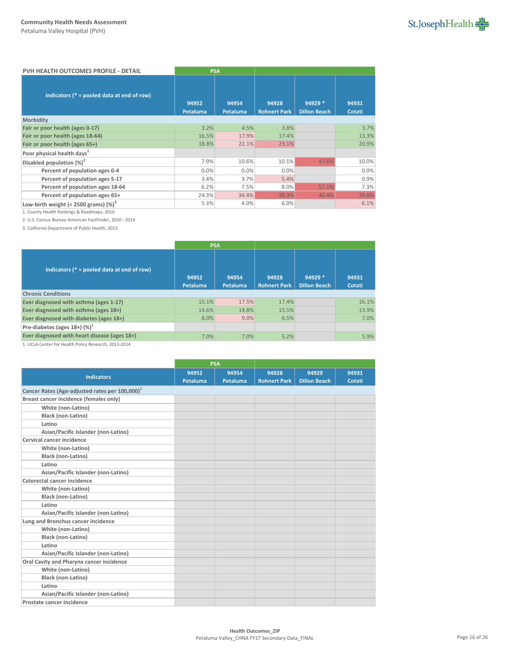| PVH HEALTH OUTCOMES PROFILE - DETAIL          | <b>PSA</b>        |                   |                              |                                |                 |
|-----------------------------------------------|-------------------|-------------------|------------------------------|--------------------------------|-----------------|
| Indicators ( $* =$ pooled data at end of row) | 94952<br>Petaluma | 94954<br>Petaluma | 94928<br><b>Rohnert Park</b> | 94929 *<br><b>Dillon Beach</b> | 94931<br>Cotati |
| Morbidity                                     |                   |                   |                              |                                |                 |
| Fair or poor health (ages 0-17)               | 3.2%              | 4.5%              | 3.8%                         |                                | 3.7%            |
| Fair or poor health (ages 18-64)              | 16.5%             | 17.9%             | 17.4%                        |                                | 13.3%           |
| Fair or poor health (ages 65+)                | 18.8%             | 22.1%             | 23.1%                        |                                | 20.9%           |
| Poor physical health days <sup>1</sup>        |                   |                   |                              |                                |                 |
| Disabled population $(\%)^2$                  | 7.9%              | 10.6%             | 10.1%                        | 47.6%                          | 10.0%           |
| Percent of population ages 0-4                | 0.0%              | 0.0%              | 0.0%                         |                                | 0.0%            |
| Percent of population ages 5-17               | 3.4%              | 3.7%              | 5.4%                         |                                | 0.9%            |
| Percent of population ages 18-64              | 6.2%              | 7.5%              | 8.0%                         | 57.1%                          | 7.3%            |
| Percent of population ages 65+                | 24.3%             | 34.4%             | 38.3%                        | 40.4%                          | 39.8%           |
| Low-birth weight (< 2500 grams) $(\%)^3$      | 5.3%              | 4.0%              | 6.0%                         |                                | 6.1%            |

1. County Health Rankings & Roadmaps, 2016

2. U.S. Census Bureau American FactFinder, 2010 - 2014

3. California Department of Public Health, 2012

|                                               | <b>PSA</b>        |                   |                              |                                 |                 |
|-----------------------------------------------|-------------------|-------------------|------------------------------|---------------------------------|-----------------|
| Indicators ( $* =$ pooled data at end of row) | 94952<br>Petaluma | 94954<br>Petaluma | 94928<br><b>Rohnert Park</b> | $94929*$<br><b>Dillon Beach</b> | 94931<br>Cotati |
| <b>Chronic Conditions</b>                     |                   |                   |                              |                                 |                 |
| Ever diagnosed with asthma (ages 1-17)        | 15.1%             | 17.5%             | 17.4%                        |                                 | 16.1%           |
| Ever diagnosed with asthma (ages 18+)         | 14.6%             | 14.8%             | 15.5%                        |                                 | 13.9%           |
| Ever diagnosed with diabetes (ages 18+)       | 8.0%              | 9.0%              | 6.5%                         |                                 | 7.0%            |
| Pre-diabetes (ages $18+$ ) (%) <sup>1</sup>   |                   |                   |                              |                                 |                 |
| Ever diagnosed with heart disease (ages 18+)  | 7.0%              | 7.0%              | 5.2%                         |                                 | 5.9%            |

1. UCLA Center for Health Policy Research, 2013-2014

|                                                            | <b>PSA</b> |          |                     |                     |        |
|------------------------------------------------------------|------------|----------|---------------------|---------------------|--------|
| <b>Indicators</b>                                          | 94952      | 94954    | 94928               | 94929               | 94931  |
|                                                            | Petaluma   | Petaluma | <b>Rohnert Park</b> | <b>Dillon Beach</b> | Cotati |
| Cancer Rates (Age-adjusted rates per 100,000) <sup>1</sup> |            |          |                     |                     |        |
| Breast cancer incidence (females only)                     |            |          |                     |                     |        |
| White (non-Latino)                                         |            |          |                     |                     |        |
| <b>Black (non-Latino)</b>                                  |            |          |                     |                     |        |
| Latino                                                     |            |          |                     |                     |        |
| Asian/Pacific Islander (non-Latino)                        |            |          |                     |                     |        |
| Cervical cancer incidence                                  |            |          |                     |                     |        |
| White (non-Latino)                                         |            |          |                     |                     |        |
| Black (non-Latino)                                         |            |          |                     |                     |        |
| Latino                                                     |            |          |                     |                     |        |
| Asian/Pacific Islander (non-Latino)                        |            |          |                     |                     |        |
| Colorectal cancer incidence                                |            |          |                     |                     |        |
| White (non-Latino)                                         |            |          |                     |                     |        |
| Black (non-Latino)                                         |            |          |                     |                     |        |
| Latino                                                     |            |          |                     |                     |        |
| Asian/Pacific Islander (non-Latino)                        |            |          |                     |                     |        |
| Lung and Bronchus cancer incidence                         |            |          |                     |                     |        |
| White (non-Latino)                                         |            |          |                     |                     |        |
| <b>Black (non-Latino)</b>                                  |            |          |                     |                     |        |
| Latino                                                     |            |          |                     |                     |        |
| Asian/Pacific Islander (non-Latino)                        |            |          |                     |                     |        |
| Oral Cavity and Pharynx cancer incidence                   |            |          |                     |                     |        |
| White (non-Latino)                                         |            |          |                     |                     |        |
| Black (non-Latino)                                         |            |          |                     |                     |        |
| Latino                                                     |            |          |                     |                     |        |
| Asian/Pacific Islander (non-Latino)                        |            |          |                     |                     |        |
| Prostate cancer incidence                                  |            |          |                     |                     |        |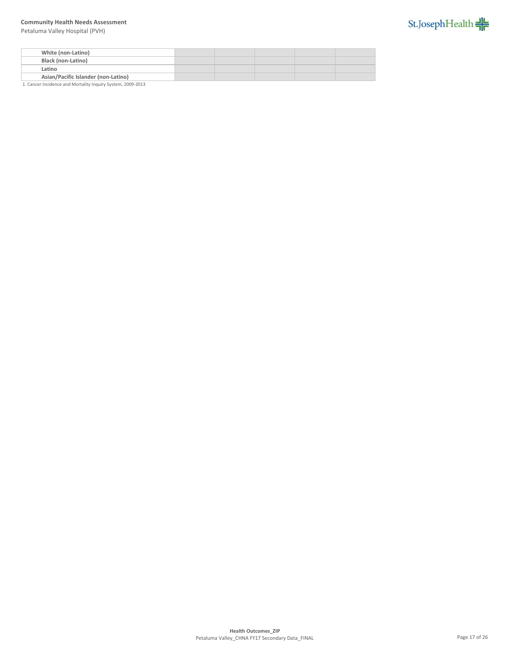Petaluma Valley Hospital (PVH)



| White (non-Latino)                  |  |  |  |
|-------------------------------------|--|--|--|
| <b>Black (non-Latino)</b>           |  |  |  |
| Latino                              |  |  |  |
| Asian/Pacific Islander (non-Latino) |  |  |  |

1. Cancer Incidence and Mortality Inquiry System, 2009-2013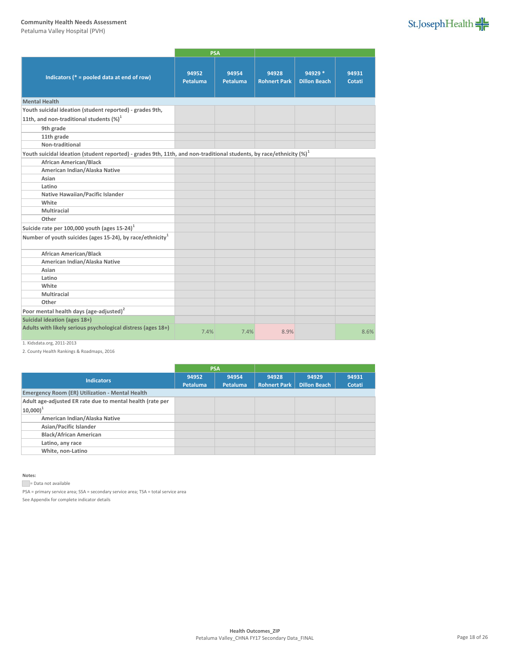Petaluma Valley Hospital (PVH)

|                                                                                                                         | <b>PSA</b>        |                   |                              |                                |                 |
|-------------------------------------------------------------------------------------------------------------------------|-------------------|-------------------|------------------------------|--------------------------------|-----------------|
| Indicators ( $* =$ pooled data at end of row)                                                                           | 94952<br>Petaluma | 94954<br>Petaluma | 94928<br><b>Rohnert Park</b> | 94929 *<br><b>Dillon Beach</b> | 94931<br>Cotati |
| <b>Mental Health</b>                                                                                                    |                   |                   |                              |                                |                 |
| Youth suicidal ideation (student reported) - grades 9th,                                                                |                   |                   |                              |                                |                 |
| 11th, and non-traditional students $(\%)^1$                                                                             |                   |                   |                              |                                |                 |
| 9th grade                                                                                                               |                   |                   |                              |                                |                 |
| 11th grade                                                                                                              |                   |                   |                              |                                |                 |
| Non-traditional                                                                                                         |                   |                   |                              |                                |                 |
| Youth suicidal ideation (student reported) - grades 9th, 11th, and non-traditional students, by race/ethnicity $(\%)^1$ |                   |                   |                              |                                |                 |
| <b>African American/Black</b>                                                                                           |                   |                   |                              |                                |                 |
| American Indian/Alaska Native                                                                                           |                   |                   |                              |                                |                 |
| Asian                                                                                                                   |                   |                   |                              |                                |                 |
| Latino                                                                                                                  |                   |                   |                              |                                |                 |
| Native Hawaiian/Pacific Islander                                                                                        |                   |                   |                              |                                |                 |
| White                                                                                                                   |                   |                   |                              |                                |                 |
| Multiracial                                                                                                             |                   |                   |                              |                                |                 |
| Other                                                                                                                   |                   |                   |                              |                                |                 |
| Suicide rate per 100,000 youth (ages $15-24$ ) <sup>1</sup>                                                             |                   |                   |                              |                                |                 |
| Number of youth suicides (ages 15-24), by race/ethnicity <sup>1</sup>                                                   |                   |                   |                              |                                |                 |
| <b>African American/Black</b>                                                                                           |                   |                   |                              |                                |                 |
| American Indian/Alaska Native                                                                                           |                   |                   |                              |                                |                 |
| Asian                                                                                                                   |                   |                   |                              |                                |                 |
| Latino                                                                                                                  |                   |                   |                              |                                |                 |
| White                                                                                                                   |                   |                   |                              |                                |                 |
| Multiracial                                                                                                             |                   |                   |                              |                                |                 |
| Other                                                                                                                   |                   |                   |                              |                                |                 |
| Poor mental health days (age-adjusted) <sup>2</sup>                                                                     |                   |                   |                              |                                |                 |
| Suicidal ideation (ages 18+)                                                                                            |                   |                   |                              |                                |                 |
| Adults with likely serious psychological distress (ages 18+)                                                            | 7.4%              | 7.4%              | 8.9%                         |                                | 8.6%            |

## 1. Kidsdata.org, 2011-2013

2. County Health Rankings & Roadmaps, 2016

|                                                           |                 | <b>PSA</b> |                     |                     |        |
|-----------------------------------------------------------|-----------------|------------|---------------------|---------------------|--------|
| <b>Indicators</b>                                         | 94952           | 94954      | 94928               | 94929               | 94931  |
|                                                           | <b>Petaluma</b> | Petaluma   | <b>Rohnert Park</b> | <b>Dillon Beach</b> | Cotati |
| <b>Emergency Room (ER) Utilization - Mental Health</b>    |                 |            |                     |                     |        |
| Adult age-adjusted ER rate due to mental health (rate per |                 |            |                     |                     |        |
| $ 10,000 ^{1}$                                            |                 |            |                     |                     |        |
| American Indian/Alaska Native                             |                 |            |                     |                     |        |
| Asian/Pacific Islander                                    |                 |            |                     |                     |        |
| <b>Black/African American</b>                             |                 |            |                     |                     |        |
| Latino, any race                                          |                 |            |                     |                     |        |
| White, non-Latino                                         |                 |            |                     |                     |        |

#### **Notes:**

Data not available

PSA = primary service area; SSA = secondary service area; TSA = total service area

See Appendix for complete indicator details

# St.JosephHealth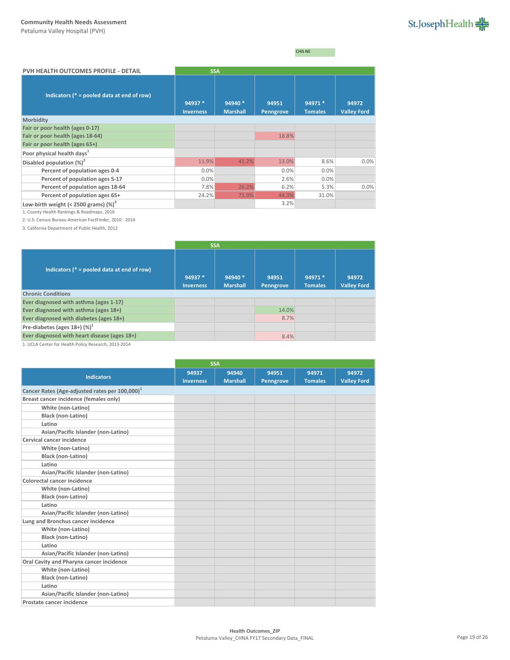CHIS NE

| PVH HEALTH OUTCOMES PROFILE - DETAIL          | <b>SSA</b>                  |                            |                    |                           |                             |
|-----------------------------------------------|-----------------------------|----------------------------|--------------------|---------------------------|-----------------------------|
| Indicators ( $* =$ pooled data at end of row) | 94937 *<br><b>Inverness</b> | 94940 *<br><b>Marshall</b> | 94951<br>Penngrove | 94971 *<br><b>Tomales</b> | 94972<br><b>Valley Ford</b> |
| Morbidity                                     |                             |                            |                    |                           |                             |
| Fair or poor health (ages 0-17)               |                             |                            |                    |                           |                             |
| Fair or poor health (ages 18-64)              |                             |                            | 18.8%              |                           |                             |
| Fair or poor health (ages 65+)                |                             |                            |                    |                           |                             |
| Poor physical health days <sup>1</sup>        |                             |                            |                    |                           |                             |
| Disabled population $(\%)^2$                  | 11.9%                       | 41.2%                      | 13.0%              | 8.6%                      | 0.0%                        |
| Percent of population ages 0-4                | 0.0%                        |                            | 0.0%               | 0.0%                      |                             |
| Percent of population ages 5-17               | 0.0%                        |                            | 2.6%               | 0.0%                      |                             |
| Percent of population ages 18-64              | 7.8%                        | 26.2%                      | 6.2%               | 5.3%                      | 0.0%                        |
| Percent of population ages 65+                | 24.2%                       | 71.9%                      | 44.3%              | 31.0%                     |                             |
| Low-birth weight (< 2500 grams) $(\%)^3$      |                             |                            | 3.2%               |                           |                             |

1. County Health Rankings & Roadmaps, 2016

2. U.S. Census Bureau American FactFinder, 2010 - 2014

3. California Department of Public Health, 2012

|                                               | <b>SSA</b>                  |                            |                    |                           |                             |
|-----------------------------------------------|-----------------------------|----------------------------|--------------------|---------------------------|-----------------------------|
| Indicators ( $* =$ pooled data at end of row) | 94937 *<br><b>Inverness</b> | 94940 *<br><b>Marshall</b> | 94951<br>Penngrove | 94971 *<br><b>Tomales</b> | 94972<br><b>Valley Ford</b> |
| <b>Chronic Conditions</b>                     |                             |                            |                    |                           |                             |
| Ever diagnosed with asthma (ages 1-17)        |                             |                            |                    |                           |                             |
| Ever diagnosed with asthma (ages 18+)         |                             |                            | 14.0%              |                           |                             |
| Ever diagnosed with diabetes (ages 18+)       |                             |                            | 8.7%               |                           |                             |
| Pre-diabetes (ages $18+$ ) (%) <sup>1</sup>   |                             |                            |                    |                           |                             |
| Ever diagnosed with heart disease (ages 18+)  |                             |                            | 8.4%               |                           |                             |

1. UCLA Center for Health Policy Research, 2013-2014

|                                                            |                  | <b>SSA</b>      |           |                |                    |
|------------------------------------------------------------|------------------|-----------------|-----------|----------------|--------------------|
| <b>Indicators</b>                                          | 94937            | 94940           | 94951     | 94971          | 94972              |
|                                                            | <b>Inverness</b> | <b>Marshall</b> | Penngrove | <b>Tomales</b> | <b>Valley Ford</b> |
| Cancer Rates (Age-adjusted rates per 100,000) <sup>1</sup> |                  |                 |           |                |                    |
| Breast cancer incidence (females only)                     |                  |                 |           |                |                    |
| White (non-Latino)                                         |                  |                 |           |                |                    |
| Black (non-Latino)                                         |                  |                 |           |                |                    |
| Latino                                                     |                  |                 |           |                |                    |
| Asian/Pacific Islander (non-Latino)                        |                  |                 |           |                |                    |
| Cervical cancer incidence                                  |                  |                 |           |                |                    |
| White (non-Latino)                                         |                  |                 |           |                |                    |
| <b>Black (non-Latino)</b>                                  |                  |                 |           |                |                    |
| Latino                                                     |                  |                 |           |                |                    |
| Asian/Pacific Islander (non-Latino)                        |                  |                 |           |                |                    |
| Colorectal cancer incidence                                |                  |                 |           |                |                    |
| White (non-Latino)                                         |                  |                 |           |                |                    |
| <b>Black (non-Latino)</b>                                  |                  |                 |           |                |                    |
| Latino                                                     |                  |                 |           |                |                    |
| Asian/Pacific Islander (non-Latino)                        |                  |                 |           |                |                    |
| Lung and Bronchus cancer incidence                         |                  |                 |           |                |                    |
| White (non-Latino)                                         |                  |                 |           |                |                    |
| <b>Black (non-Latino)</b>                                  |                  |                 |           |                |                    |
| Latino                                                     |                  |                 |           |                |                    |
| Asian/Pacific Islander (non-Latino)                        |                  |                 |           |                |                    |
| Oral Cavity and Pharynx cancer incidence                   |                  |                 |           |                |                    |
| White (non-Latino)                                         |                  |                 |           |                |                    |
| <b>Black (non-Latino)</b>                                  |                  |                 |           |                |                    |
| Latino                                                     |                  |                 |           |                |                    |
| Asian/Pacific Islander (non-Latino)                        |                  |                 |           |                |                    |
| Prostate cancer incidence                                  |                  |                 |           |                |                    |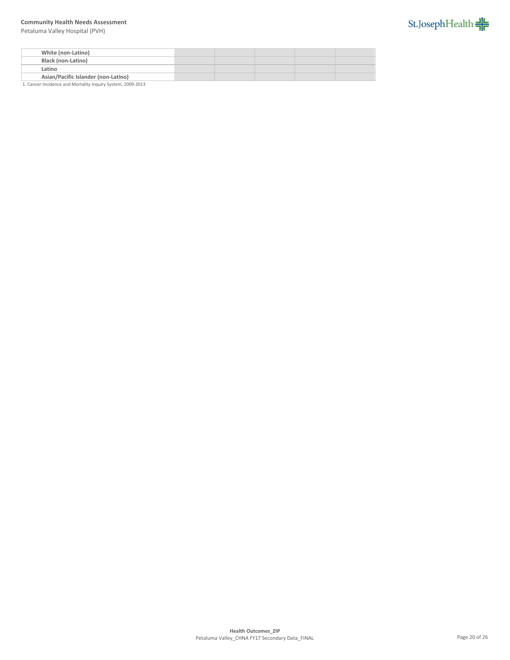Petaluma Valley Hospital (PVH)



| White (non-Latino)                  |  |  |  |
|-------------------------------------|--|--|--|
| <b>Black (non-Latino)</b>           |  |  |  |
| Latino                              |  |  |  |
| Asian/Pacific Islander (non-Latino) |  |  |  |

1. Cancer Incidence and Mortality Inquiry System, 2009-2013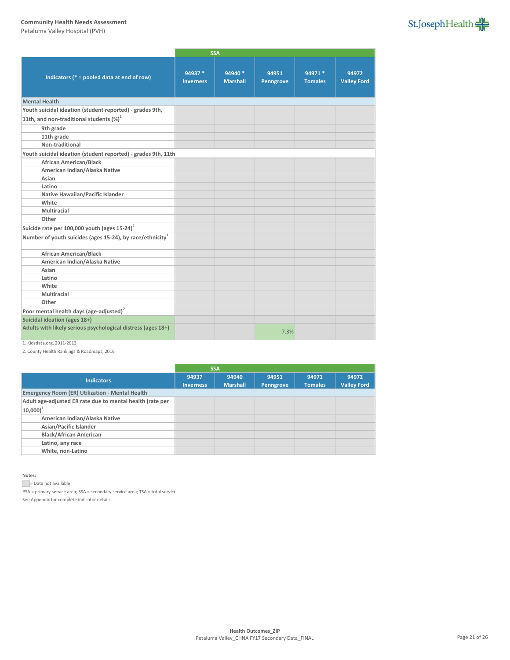Petaluma Valley Hospital (PVH)

|                                                                       |                             | <b>SSA</b>                 |                    |                           |                             |
|-----------------------------------------------------------------------|-----------------------------|----------------------------|--------------------|---------------------------|-----------------------------|
| Indicators ( $* =$ pooled data at end of row)                         | 94937 *<br><b>Inverness</b> | 94940 *<br><b>Marshall</b> | 94951<br>Penngrove | 94971 *<br><b>Tomales</b> | 94972<br><b>Valley Ford</b> |
| <b>Mental Health</b>                                                  |                             |                            |                    |                           |                             |
| Youth suicidal ideation (student reported) - grades 9th,              |                             |                            |                    |                           |                             |
| 11th, and non-traditional students $(\%)^1$                           |                             |                            |                    |                           |                             |
| 9th grade                                                             |                             |                            |                    |                           |                             |
| 11th grade                                                            |                             |                            |                    |                           |                             |
| Non-traditional                                                       |                             |                            |                    |                           |                             |
| Youth suicidal ideation (student reported) - grades 9th, 11th         |                             |                            |                    |                           |                             |
| <b>African American/Black</b>                                         |                             |                            |                    |                           |                             |
| American Indian/Alaska Native                                         |                             |                            |                    |                           |                             |
| Asian                                                                 |                             |                            |                    |                           |                             |
| Latino                                                                |                             |                            |                    |                           |                             |
| Native Hawaiian/Pacific Islander                                      |                             |                            |                    |                           |                             |
| White                                                                 |                             |                            |                    |                           |                             |
| Multiracial                                                           |                             |                            |                    |                           |                             |
| Other                                                                 |                             |                            |                    |                           |                             |
| Suicide rate per 100,000 youth (ages $15-24$ ) <sup>1</sup>           |                             |                            |                    |                           |                             |
| Number of youth suicides (ages 15-24), by race/ethnicity <sup>1</sup> |                             |                            |                    |                           |                             |
| African American/Black                                                |                             |                            |                    |                           |                             |
| American Indian/Alaska Native                                         |                             |                            |                    |                           |                             |
| Asian                                                                 |                             |                            |                    |                           |                             |
| Latino                                                                |                             |                            |                    |                           |                             |
| White                                                                 |                             |                            |                    |                           |                             |
| Multiracial                                                           |                             |                            |                    |                           |                             |
| Other                                                                 |                             |                            |                    |                           |                             |
| Poor mental health days (age-adjusted) <sup>2</sup>                   |                             |                            |                    |                           |                             |
| Suicidal ideation (ages 18+)                                          |                             |                            |                    |                           |                             |
| Adults with likely serious psychological distress (ages 18+)          |                             |                            | 7.3%               |                           |                             |

## 1. Kidsdata.org, 2011-2013

2. County Health Rankings & Roadmaps, 2016

|                                                           |                  | <b>SSA</b>      |           |                |                    |
|-----------------------------------------------------------|------------------|-----------------|-----------|----------------|--------------------|
| <b>Indicators</b>                                         | 94937            | 94940           | 94951     | 94971          | 94972              |
|                                                           | <b>Inverness</b> | <b>Marshall</b> | Penngrove | <b>Tomales</b> | <b>Valley Ford</b> |
| <b>Emergency Room (ER) Utilization - Mental Health</b>    |                  |                 |           |                |                    |
| Adult age-adjusted ER rate due to mental health (rate per |                  |                 |           |                |                    |
| $ 10,000 ^{1}$                                            |                  |                 |           |                |                    |
| American Indian/Alaska Native                             |                  |                 |           |                |                    |
| Asian/Pacific Islander                                    |                  |                 |           |                |                    |
| <b>Black/African American</b>                             |                  |                 |           |                |                    |
| Latino, any race                                          |                  |                 |           |                |                    |
| White, non-Latino                                         |                  |                 |           |                |                    |
|                                                           |                  |                 |           |                |                    |

#### **Notes:**

Data not available

 $PSA = primary$  service area;  $SSA = secondary$  service area;  $TSA = total$  service

See Appendix for complete indicator details

# St.JosephHealth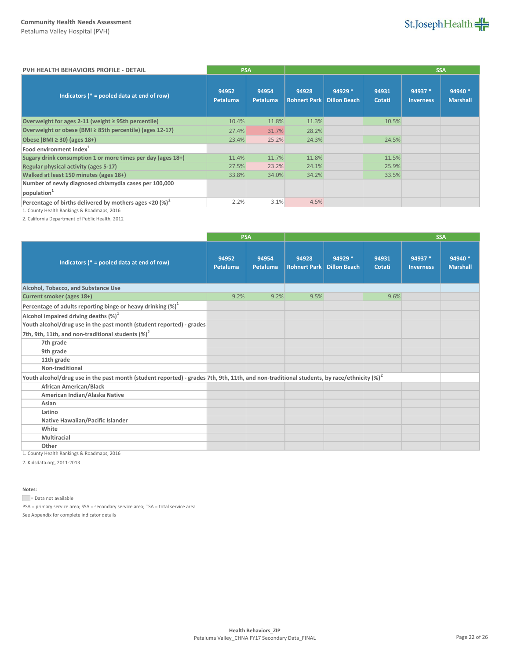St.JosephHealth

| <b>PVH HEALTH BEHAVIORS PROFILE - DETAIL</b>                | <b>PSA</b>        |                          |                              |                                |                 |                             | <b>SSA</b>                  |
|-------------------------------------------------------------|-------------------|--------------------------|------------------------------|--------------------------------|-----------------|-----------------------------|-----------------------------|
| Indicators ( $* =$ pooled data at end of row)               | 94952<br>Petaluma | 94954<br><b>Petaluma</b> | 94928<br><b>Rohnert Park</b> | 94929 *<br><b>Dillon Beach</b> | 94931<br>Cotati | 94937 *<br><b>Inverness</b> | $94940*$<br><b>Marshall</b> |
| Overweight for ages 2-11 (weight ≥ 95th percentile)         | 10.4%             | 11.8%                    | 11.3%                        |                                | 10.5%           |                             |                             |
| Overweight or obese (BMI ≥ 85th percentile) (ages 12-17)    | 27.4%             | 31.7%                    | 28.2%                        |                                |                 |                             |                             |
| Obese (BMI $\geq$ 30) (ages 18+)                            | 23.4%             | 25.2%                    | 24.3%                        |                                | 24.5%           |                             |                             |
| Food environment index <sup>1</sup>                         |                   |                          |                              |                                |                 |                             |                             |
| Sugary drink consumption 1 or more times per day (ages 18+) | 11.4%             | 11.7%                    | 11.8%                        |                                | 11.5%           |                             |                             |
| Regular physical activity (ages 5-17)                       | 27.5%             | 23.2%                    | 24.1%                        |                                | 25.9%           |                             |                             |
| Walked at least 150 minutes (ages 18+)                      | 33.8%             | 34.0%                    | 34.2%                        |                                | 33.5%           |                             |                             |
| Number of newly diagnosed chlamydia cases per 100,000       |                   |                          |                              |                                |                 |                             |                             |
| population <sup>1</sup>                                     |                   |                          |                              |                                |                 |                             |                             |
| Percentage of births delivered by mothers ages <20 $(%)^2$  | 2.2%              | 3.1%                     | 4.5%                         |                                |                 |                             |                             |

1. County Health Rankings & Roadmaps, 2016

2. California Department of Public Health, 2012

|                                                                                                                                               | <b>PSA</b>        |                   |                              |                                |                 | <b>SSA</b>                  |                            |
|-----------------------------------------------------------------------------------------------------------------------------------------------|-------------------|-------------------|------------------------------|--------------------------------|-----------------|-----------------------------|----------------------------|
| Indicators ( $* =$ pooled data at end of row)                                                                                                 | 94952<br>Petaluma | 94954<br>Petaluma | 94928<br><b>Rohnert Park</b> | 94929 *<br><b>Dillon Beach</b> | 94931<br>Cotati | 94937 *<br><b>Inverness</b> | 94940 *<br><b>Marshall</b> |
| Alcohol, Tobacco, and Substance Use                                                                                                           |                   |                   |                              |                                |                 |                             |                            |
| Current smoker (ages 18+)                                                                                                                     | 9.2%              | 9.2%              | 9.5%                         |                                | 9.6%            |                             |                            |
| Percentage of adults reporting binge or heavy drinking $(\%)^1$                                                                               |                   |                   |                              |                                |                 |                             |                            |
| Alcohol impaired driving deaths $(\%)^1$                                                                                                      |                   |                   |                              |                                |                 |                             |                            |
| Youth alcohol/drug use in the past month (student reported) - grades                                                                          |                   |                   |                              |                                |                 |                             |                            |
| 7th, 9th, 11th, and non-traditional students $(\%)^2$                                                                                         |                   |                   |                              |                                |                 |                             |                            |
| 7th grade                                                                                                                                     |                   |                   |                              |                                |                 |                             |                            |
| 9th grade                                                                                                                                     |                   |                   |                              |                                |                 |                             |                            |
| 11th grade                                                                                                                                    |                   |                   |                              |                                |                 |                             |                            |
| Non-traditional                                                                                                                               |                   |                   |                              |                                |                 |                             |                            |
| Youth alcohol/drug use in the past month (student reported) - grades 7th, 9th, 11th, and non-traditional students, by race/ethnicity $(\%)^2$ |                   |                   |                              |                                |                 |                             |                            |
| <b>African American/Black</b>                                                                                                                 |                   |                   |                              |                                |                 |                             |                            |
| American Indian/Alaska Native                                                                                                                 |                   |                   |                              |                                |                 |                             |                            |
| Asian                                                                                                                                         |                   |                   |                              |                                |                 |                             |                            |
| Latino                                                                                                                                        |                   |                   |                              |                                |                 |                             |                            |
| <b>Native Hawaiian/Pacific Islander</b>                                                                                                       |                   |                   |                              |                                |                 |                             |                            |
| White                                                                                                                                         |                   |                   |                              |                                |                 |                             |                            |
| Multiracial                                                                                                                                   |                   |                   |                              |                                |                 |                             |                            |
| Other                                                                                                                                         |                   |                   |                              |                                |                 |                             |                            |

1. County Health Rankings & Roadmaps, 2016

2. Kidsdata.org, 2011-2013

**Notes:**

= Data not available

PSA = primary service area; SSA = secondary service area; TSA = total service area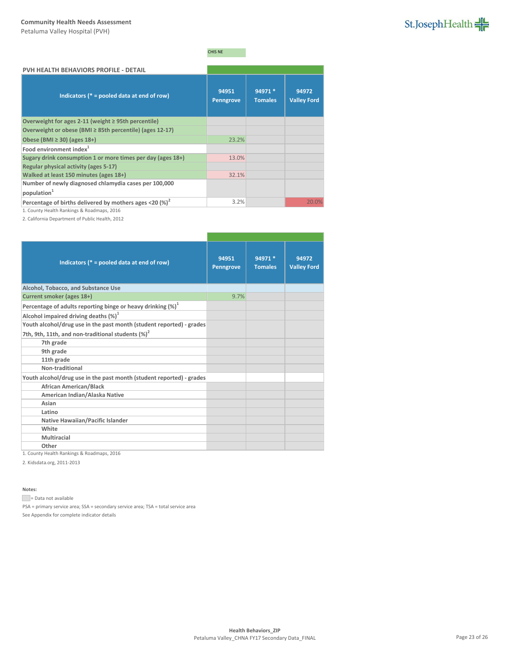

# CHIS NE

| PVH HEALTH BEHAVIORS PROFILE - DETAIL                       |                           |                           |                             |
|-------------------------------------------------------------|---------------------------|---------------------------|-----------------------------|
| Indicators ( $* =$ pooled data at end of row)               | 94951<br><b>Penngrove</b> | 94971 *<br><b>Tomales</b> | 94972<br><b>Valley Ford</b> |
| Overweight for ages 2-11 (weight $\geq$ 95th percentile)    |                           |                           |                             |
| Overweight or obese (BMI ≥ 85th percentile) (ages 12-17)    |                           |                           |                             |
| Obese (BMI $\geq$ 30) (ages 18+)                            | 23.2%                     |                           |                             |
| Food environment index <sup>1</sup>                         |                           |                           |                             |
| Sugary drink consumption 1 or more times per day (ages 18+) | 13.0%                     |                           |                             |
| Regular physical activity (ages 5-17)                       |                           |                           |                             |
| Walked at least 150 minutes (ages 18+)                      | 32.1%                     |                           |                             |
| Number of newly diagnosed chlamydia cases per 100,000       |                           |                           |                             |
| population <sup>1</sup>                                     |                           |                           |                             |
| Percentage of births delivered by mothers ages <20 $(%)^2$  | 3.2%                      |                           | 20.0%                       |

1. County Health Rankings & Roadmaps, 2016

2. California Department of Public Health, 2012

| Indicators ( $* =$ pooled data at end of row)                        | 94951<br><b>Penngrove</b> | 94971 *<br><b>Tomales</b> | 94972<br><b>Valley Ford</b> |
|----------------------------------------------------------------------|---------------------------|---------------------------|-----------------------------|
| Alcohol, Tobacco, and Substance Use                                  |                           |                           |                             |
| Current smoker (ages 18+)                                            | 9.7%                      |                           |                             |
| Percentage of adults reporting binge or heavy drinking $(\%)^1$      |                           |                           |                             |
| Alcohol impaired driving deaths $(\%)^1$                             |                           |                           |                             |
| Youth alcohol/drug use in the past month (student reported) - grades |                           |                           |                             |
| 7th, 9th, 11th, and non-traditional students (%) <sup>2</sup>        |                           |                           |                             |
| 7th grade                                                            |                           |                           |                             |
| 9th grade                                                            |                           |                           |                             |
| 11th grade                                                           |                           |                           |                             |
| Non-traditional                                                      |                           |                           |                             |
| Youth alcohol/drug use in the past month (student reported) - grades |                           |                           |                             |
| <b>African American/Black</b>                                        |                           |                           |                             |
| American Indian/Alaska Native                                        |                           |                           |                             |
| Asian                                                                |                           |                           |                             |
| Latino                                                               |                           |                           |                             |
| Native Hawaiian/Pacific Islander                                     |                           |                           |                             |
| White                                                                |                           |                           |                             |
| Multiracial                                                          |                           |                           |                             |
| Other                                                                |                           |                           |                             |

1. County Health Rankings & Roadmaps, 2016

2. Kidsdata.org, 2011-2013

**Notes:**

= Data not available

PSA = primary service area; SSA = secondary service area; TSA = total service area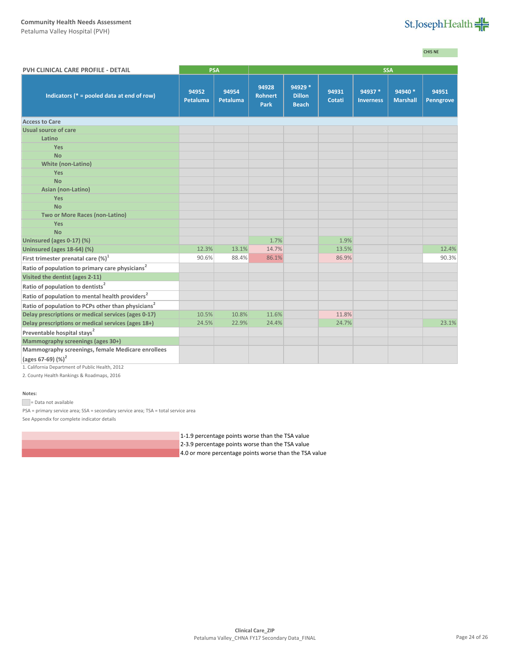Petaluma Valley Hospital (PVH)



CHIS NE

| PVH CLINICAL CARE PROFILE - DETAIL                             | <b>PSA</b>               |                   |                                        | <b>SSA</b>                               |                 |                             |                            |                    |
|----------------------------------------------------------------|--------------------------|-------------------|----------------------------------------|------------------------------------------|-----------------|-----------------------------|----------------------------|--------------------|
| Indicators ( $* =$ pooled data at end of row)                  | 94952<br><b>Petaluma</b> | 94954<br>Petaluma | 94928<br><b>Rohnert</b><br><b>Park</b> | 94929 *<br><b>Dillon</b><br><b>Beach</b> | 94931<br>Cotati | 94937 *<br><b>Inverness</b> | 94940 *<br><b>Marshall</b> | 94951<br>Penngrove |
| <b>Access to Care</b>                                          |                          |                   |                                        |                                          |                 |                             |                            |                    |
| Usual source of care                                           |                          |                   |                                        |                                          |                 |                             |                            |                    |
| Latino                                                         |                          |                   |                                        |                                          |                 |                             |                            |                    |
| <b>Yes</b>                                                     |                          |                   |                                        |                                          |                 |                             |                            |                    |
| <b>No</b>                                                      |                          |                   |                                        |                                          |                 |                             |                            |                    |
| <b>White (non-Latino)</b>                                      |                          |                   |                                        |                                          |                 |                             |                            |                    |
| Yes                                                            |                          |                   |                                        |                                          |                 |                             |                            |                    |
| <b>No</b>                                                      |                          |                   |                                        |                                          |                 |                             |                            |                    |
| Asian (non-Latino)                                             |                          |                   |                                        |                                          |                 |                             |                            |                    |
| Yes                                                            |                          |                   |                                        |                                          |                 |                             |                            |                    |
| <b>No</b>                                                      |                          |                   |                                        |                                          |                 |                             |                            |                    |
| Two or More Races (non-Latino)                                 |                          |                   |                                        |                                          |                 |                             |                            |                    |
| <b>Yes</b>                                                     |                          |                   |                                        |                                          |                 |                             |                            |                    |
| <b>No</b>                                                      |                          |                   |                                        |                                          |                 |                             |                            |                    |
| Uninsured (ages 0-17) (%)                                      |                          |                   | 1.7%                                   |                                          | 1.9%            |                             |                            |                    |
| Uninsured (ages 18-64) (%)                                     | 12.3%                    | 13.1%             | 14.7%                                  |                                          | 13.5%           |                             |                            | 12.4%              |
| First trimester prenatal care (%) <sup>1</sup>                 | 90.6%                    | 88.4%             | 86.1%                                  |                                          | 86.9%           |                             |                            | 90.3%              |
| Ratio of population to primary care physicians <sup>2</sup>    |                          |                   |                                        |                                          |                 |                             |                            |                    |
| Visited the dentist (ages 2-11)                                |                          |                   |                                        |                                          |                 |                             |                            |                    |
| Ratio of population to dentists <sup>2</sup>                   |                          |                   |                                        |                                          |                 |                             |                            |                    |
| Ratio of population to mental health providers <sup>2</sup>    |                          |                   |                                        |                                          |                 |                             |                            |                    |
| Ratio of population to PCPs other than physicians <sup>2</sup> |                          |                   |                                        |                                          |                 |                             |                            |                    |
| Delay prescriptions or medical services (ages 0-17)            | 10.5%                    | 10.8%             | 11.6%                                  |                                          | 11.8%           |                             |                            |                    |
| Delay prescriptions or medical services (ages 18+)             | 24.5%                    | 22.9%             | 24.4%                                  |                                          | 24.7%           |                             |                            | 23.1%              |
| Preventable hospital stays <sup>2</sup>                        |                          |                   |                                        |                                          |                 |                             |                            |                    |
| Mammography screenings (ages 30+)                              |                          |                   |                                        |                                          |                 |                             |                            |                    |
| Mammography screenings, female Medicare enrollees              |                          |                   |                                        |                                          |                 |                             |                            |                    |
| (ages 67-69) (%) <sup>2</sup>                                  |                          |                   |                                        |                                          |                 |                             |                            |                    |

1. California Department of Public Health, 2012

2. County Health Rankings & Roadmaps, 2016

## **Notes:**

Data not available

PSA = primary service area; SSA = secondary service area; TSA = total service area

See Appendix for complete indicator details

1-1.9 percentage points worse than the TSA value

- 2-3.9 percentage points worse than the TSA value
- 4.0 or more percentage points worse than the TSA value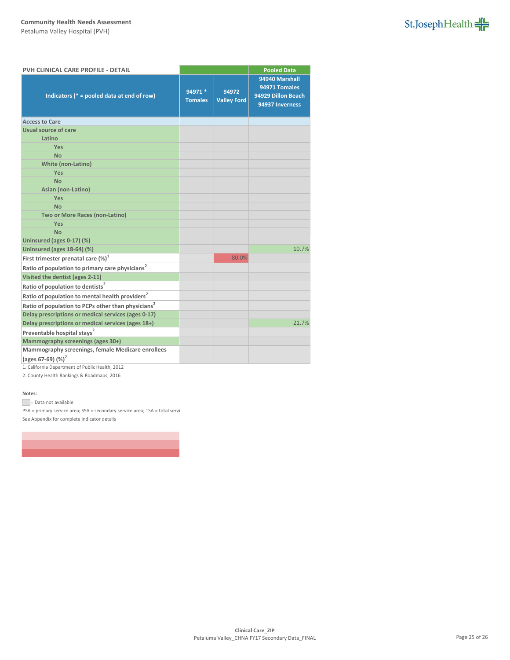

| PVH CLINICAL CARE PROFILE - DETAIL                             |                           |                             | <b>Pooled Data</b>                                                       |  |
|----------------------------------------------------------------|---------------------------|-----------------------------|--------------------------------------------------------------------------|--|
| Indicators ( $* =$ pooled data at end of row)                  | 94971 *<br><b>Tomales</b> | 94972<br><b>Valley Ford</b> | 94940 Marshall<br>94971 Tomales<br>94929 Dillon Beach<br>94937 Inverness |  |
| <b>Access to Care</b>                                          |                           |                             |                                                                          |  |
| Usual source of care                                           |                           |                             |                                                                          |  |
| Latino                                                         |                           |                             |                                                                          |  |
| <b>Yes</b>                                                     |                           |                             |                                                                          |  |
| <b>No</b>                                                      |                           |                             |                                                                          |  |
| <b>White (non-Latino)</b>                                      |                           |                             |                                                                          |  |
| Yes                                                            |                           |                             |                                                                          |  |
| <b>No</b>                                                      |                           |                             |                                                                          |  |
| Asian (non-Latino)                                             |                           |                             |                                                                          |  |
| Yes                                                            |                           |                             |                                                                          |  |
| <b>No</b>                                                      |                           |                             |                                                                          |  |
| Two or More Races (non-Latino)                                 |                           |                             |                                                                          |  |
| Yes                                                            |                           |                             |                                                                          |  |
| <b>No</b>                                                      |                           |                             |                                                                          |  |
| Uninsured (ages 0-17) (%)                                      |                           |                             |                                                                          |  |
| Uninsured (ages 18-64) (%)                                     |                           |                             | 10.7%                                                                    |  |
| First trimester prenatal care $(\%)^1$                         |                           | 80.0%                       |                                                                          |  |
| Ratio of population to primary care physicians <sup>2</sup>    |                           |                             |                                                                          |  |
| Visited the dentist (ages 2-11)                                |                           |                             |                                                                          |  |
| Ratio of population to dentists <sup>2</sup>                   |                           |                             |                                                                          |  |
| Ratio of population to mental health providers <sup>2</sup>    |                           |                             |                                                                          |  |
| Ratio of population to PCPs other than physicians <sup>2</sup> |                           |                             |                                                                          |  |
| Delay prescriptions or medical services (ages 0-17)            |                           |                             |                                                                          |  |
| Delay prescriptions or medical services (ages 18+)             |                           |                             | 21.7%                                                                    |  |
| Preventable hospital stays <sup>2</sup>                        |                           |                             |                                                                          |  |
| Mammography screenings (ages 30+)                              |                           |                             |                                                                          |  |
| Mammography screenings, female Medicare enrollees              |                           |                             |                                                                          |  |
| (ages 67-69) $(%)^2$                                           |                           |                             |                                                                          |  |

1. California Department of Public Health, 2012

2. County Health Rankings & Roadmaps, 2016

### **Notes:**

= Data not available

PSA = primary service area; SSA = secondary service area; TSA = total servi See Appendix for complete indicator details